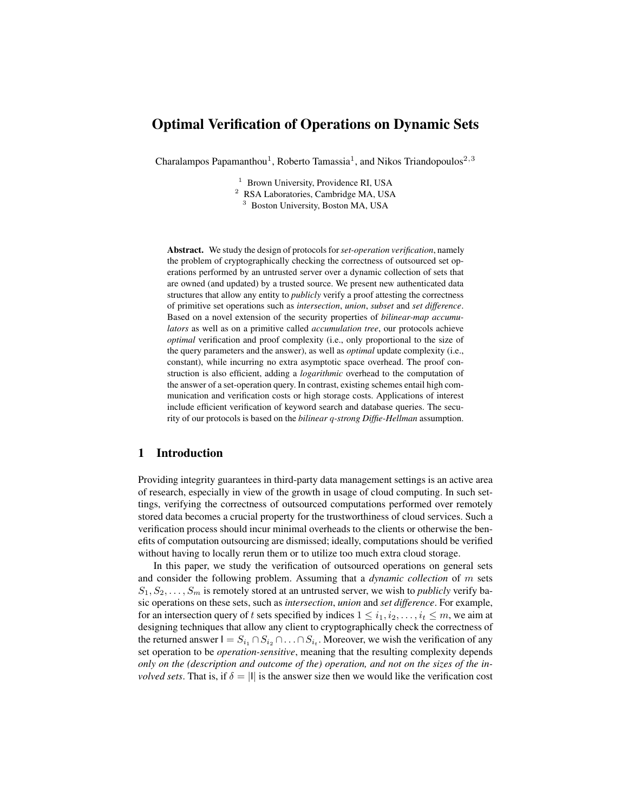# Optimal Verification of Operations on Dynamic Sets

Charalampos Papamanthou<sup>1</sup>, Roberto Tamassia<sup>1</sup>, and Nikos Triandopoulos<sup>2,3</sup>

<sup>1</sup> Brown University, Providence RI, USA

<sup>2</sup> RSA Laboratories, Cambridge MA, USA

<sup>3</sup> Boston University, Boston MA, USA

Abstract. We study the design of protocols for*set-operation verification*, namely the problem of cryptographically checking the correctness of outsourced set operations performed by an untrusted server over a dynamic collection of sets that are owned (and updated) by a trusted source. We present new authenticated data structures that allow any entity to *publicly* verify a proof attesting the correctness of primitive set operations such as *intersection*, *union*, *subset* and *set difference*. Based on a novel extension of the security properties of *bilinear-map accumulators* as well as on a primitive called *accumulation tree*, our protocols achieve *optimal* verification and proof complexity (i.e., only proportional to the size of the query parameters and the answer), as well as *optimal* update complexity (i.e., constant), while incurring no extra asymptotic space overhead. The proof construction is also efficient, adding a *logarithmic* overhead to the computation of the answer of a set-operation query. In contrast, existing schemes entail high communication and verification costs or high storage costs. Applications of interest include efficient verification of keyword search and database queries. The security of our protocols is based on the *bilinear* q*-strong Diffie-Hellman* assumption.

# 1 Introduction

Providing integrity guarantees in third-party data management settings is an active area of research, especially in view of the growth in usage of cloud computing. In such settings, verifying the correctness of outsourced computations performed over remotely stored data becomes a crucial property for the trustworthiness of cloud services. Such a verification process should incur minimal overheads to the clients or otherwise the benefits of computation outsourcing are dismissed; ideally, computations should be verified without having to locally rerun them or to utilize too much extra cloud storage.

In this paper, we study the verification of outsourced operations on general sets and consider the following problem. Assuming that a *dynamic collection* of m sets  $S_1, S_2, \ldots, S_m$  is remotely stored at an untrusted server, we wish to *publicly* verify basic operations on these sets, such as *intersection*, *union* and *set difference*. For example, for an intersection query of t sets specified by indices  $1 \leq i_1, i_2, \ldots, i_t \leq m$ , we aim at designing techniques that allow any client to cryptographically check the correctness of the returned answer  $I = S_{i_1} \cap S_{i_2} \cap \ldots \cap S_{i_t}$ . Moreover, we wish the verification of any set operation to be *operation-sensitive*, meaning that the resulting complexity depends *only on the (description and outcome of the) operation, and not on the sizes of the involved sets*. That is, if  $\delta = |I|$  is the answer size then we would like the verification cost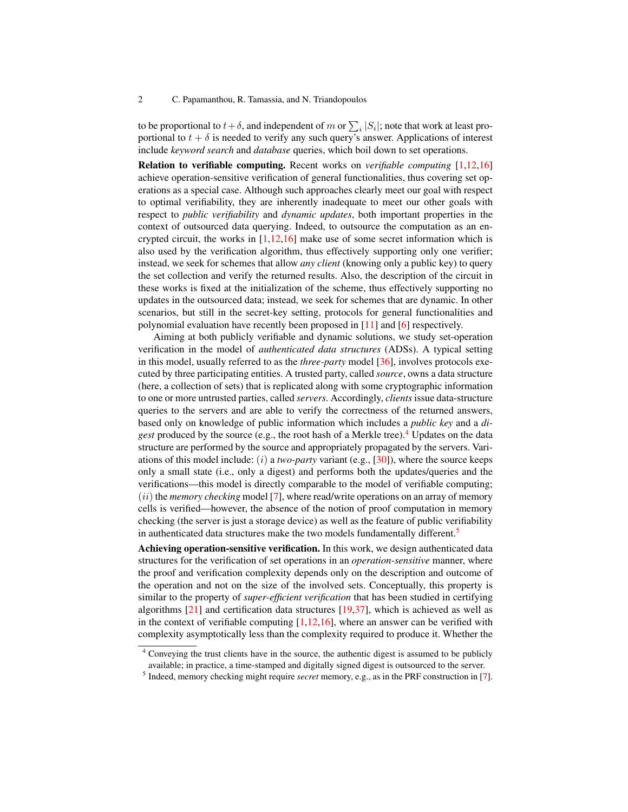to be proportional to  $t+\delta,$  and independent of  $m$  or  $\sum_i |S_i|;$  note that work at least proportional to  $t + \delta$  is needed to verify any such query's answer. Applications of interest include *keyword search* and *database* queries, which boil down to set operations.

Relation to verifiable computing. Recent works on *verifiable computing* [\[1](#page-17-0)[,12](#page-17-1)[,16\]](#page-17-2) achieve operation-sensitive verification of general functionalities, thus covering set operations as a special case. Although such approaches clearly meet our goal with respect to optimal verifiability, they are inherently inadequate to meet our other goals with respect to *public verifiability* and *dynamic updates*, both important properties in the context of outsourced data querying. Indeed, to outsource the computation as an encrypted circuit, the works in  $[1,12,16]$  $[1,12,16]$  $[1,12,16]$  make use of some secret information which is also used by the verification algorithm, thus effectively supporting only one verifier; instead, we seek for schemes that allow *any client* (knowing only a public key) to query the set collection and verify the returned results. Also, the description of the circuit in these works is fixed at the initialization of the scheme, thus effectively supporting no updates in the outsourced data; instead, we seek for schemes that are dynamic. In other scenarios, but still in the secret-key setting, protocols for general functionalities and polynomial evaluation have recently been proposed in [\[11\]](#page-17-3) and [\[6\]](#page-17-4) respectively.

Aiming at both publicly verifiable and dynamic solutions, we study set-operation verification in the model of *authenticated data structures* (ADSs). A typical setting in this model, usually referred to as the *three-party* model [\[36\]](#page-18-0), involves protocols executed by three participating entities. A trusted party, called *source*, owns a data structure (here, a collection of sets) that is replicated along with some cryptographic information to one or more untrusted parties, called *servers*. Accordingly, *clients* issue data-structure queries to the servers and are able to verify the correctness of the returned answers, based only on knowledge of public information which includes a *public key* and a *digest* produced by the source (e.g., the root hash of a Merkle tree).<sup>[4](#page-1-0)</sup> Updates on the data structure are performed by the source and appropriately propagated by the servers. Variations of this model include:  $(i)$  a *two-party* variant (e.g., [\[30\]](#page-18-1)), where the source keeps only a small state (i.e., only a digest) and performs both the updates/queries and the verifications—this model is directly comparable to the model of verifiable computing; (ii) the *memory checking* model [\[7\]](#page-17-5), where read/write operations on an array of memory cells is verified—however, the absence of the notion of proof computation in memory checking (the server is just a storage device) as well as the feature of public verifiability in authenticated data structures make the two models fundamentally different.<sup>[5](#page-1-1)</sup>

Achieving operation-sensitive verification. In this work, we design authenticated data structures for the verification of set operations in an *operation-sensitive* manner, where the proof and verification complexity depends only on the description and outcome of the operation and not on the size of the involved sets. Conceptually, this property is similar to the property of *super-efficient verification* that has been studied in certifying algorithms [\[21\]](#page-18-2) and certification data structures [\[19,](#page-18-3)[37\]](#page-18-4), which is achieved as well as in the context of verifiable computing  $[1,12,16]$  $[1,12,16]$  $[1,12,16]$ , where an answer can be verified with complexity asymptotically less than the complexity required to produce it. Whether the

<span id="page-1-0"></span><sup>4</sup> Conveying the trust clients have in the source, the authentic digest is assumed to be publicly available; in practice, a time-stamped and digitally signed digest is outsourced to the server.

<span id="page-1-1"></span><sup>5</sup> Indeed, memory checking might require *secret* memory, e.g., as in the PRF construction in [\[7\]](#page-17-5).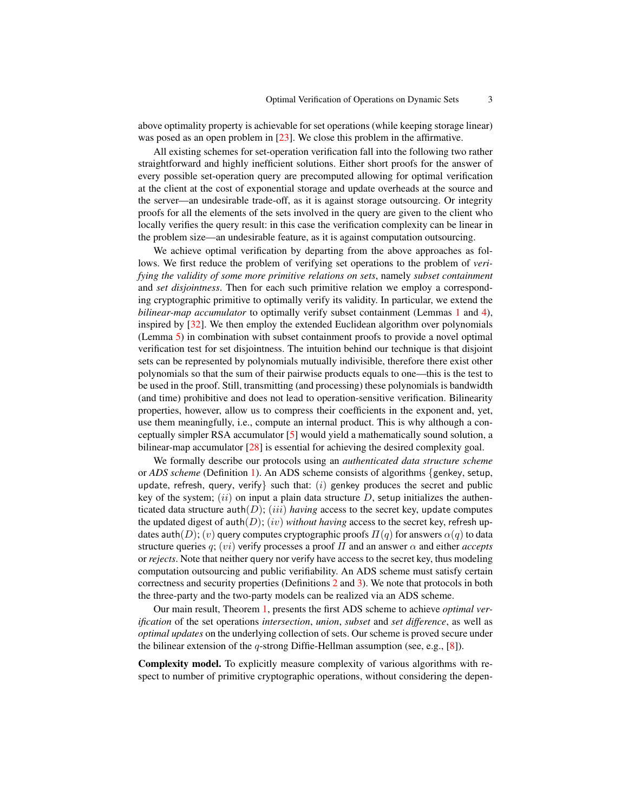above optimality property is achievable for set operations (while keeping storage linear) was posed as an open problem in [\[23\]](#page-18-5). We close this problem in the affirmative.

All existing schemes for set-operation verification fall into the following two rather straightforward and highly inefficient solutions. Either short proofs for the answer of every possible set-operation query are precomputed allowing for optimal verification at the client at the cost of exponential storage and update overheads at the source and the server—an undesirable trade-off, as it is against storage outsourcing. Or integrity proofs for all the elements of the sets involved in the query are given to the client who locally verifies the query result: in this case the verification complexity can be linear in the problem size—an undesirable feature, as it is against computation outsourcing.

We achieve optimal verification by departing from the above approaches as follows. We first reduce the problem of verifying set operations to the problem of *verifying the validity of some more primitive relations on sets*, namely *subset containment* and *set disjointness*. Then for each such primitive relation we employ a corresponding cryptographic primitive to optimally verify its validity. In particular, we extend the *bilinear-map accumulator* to optimally verify subset containment (Lemmas [1](#page-4-0) and [4\)](#page-10-0), inspired by [\[32\]](#page-18-6). We then employ the extended Euclidean algorithm over polynomials (Lemma [5\)](#page-11-0) in combination with subset containment proofs to provide a novel optimal verification test for set disjointness. The intuition behind our technique is that disjoint sets can be represented by polynomials mutually indivisible, therefore there exist other polynomials so that the sum of their pairwise products equals to one—this is the test to be used in the proof. Still, transmitting (and processing) these polynomials is bandwidth (and time) prohibitive and does not lead to operation-sensitive verification. Bilinearity properties, however, allow us to compress their coefficients in the exponent and, yet, use them meaningfully, i.e., compute an internal product. This is why although a conceptually simpler RSA accumulator [\[5\]](#page-17-6) would yield a mathematically sound solution, a bilinear-map accumulator [\[28\]](#page-18-7) is essential for achieving the desired complexity goal.

We formally describe our protocols using an *authenticated data structure scheme* or *ADS scheme* (Definition [1\)](#page-6-0). An ADS scheme consists of algorithms {genkey, setup, update, refresh, query, verify} such that:  $(i)$  genkey produces the secret and public key of the system; (ii) on input a plain data structure D, setup initializes the authenticated data structure auth $(D)$ ; *(iii) having* access to the secret key, update computes the updated digest of auth $(D)$ ; *(iv) without having* access to the secret key, refresh updates auth(D); (v) query computes cryptographic proofs  $\Pi(q)$  for answers  $\alpha(q)$  to data structure queries  $q$ ; (vi) verify processes a proof  $\Pi$  and an answer  $\alpha$  and either *accepts* or *rejects*. Note that neither query nor verify have access to the secret key, thus modeling computation outsourcing and public verifiability. An ADS scheme must satisfy certain correctness and security properties (Definitions [2](#page-6-1) and [3\)](#page-6-2). We note that protocols in both the three-party and the two-party models can be realized via an ADS scheme.

Our main result, Theorem [1,](#page-14-0) presents the first ADS scheme to achieve *optimal verification* of the set operations *intersection*, *union*, *subset* and *set difference*, as well as *optimal updates* on the underlying collection of sets. Our scheme is proved secure under the bilinear extension of the q-strong Diffie-Hellman assumption (see, e.g.,  $[8]$ ).

Complexity model. To explicitly measure complexity of various algorithms with respect to number of primitive cryptographic operations, without considering the depen-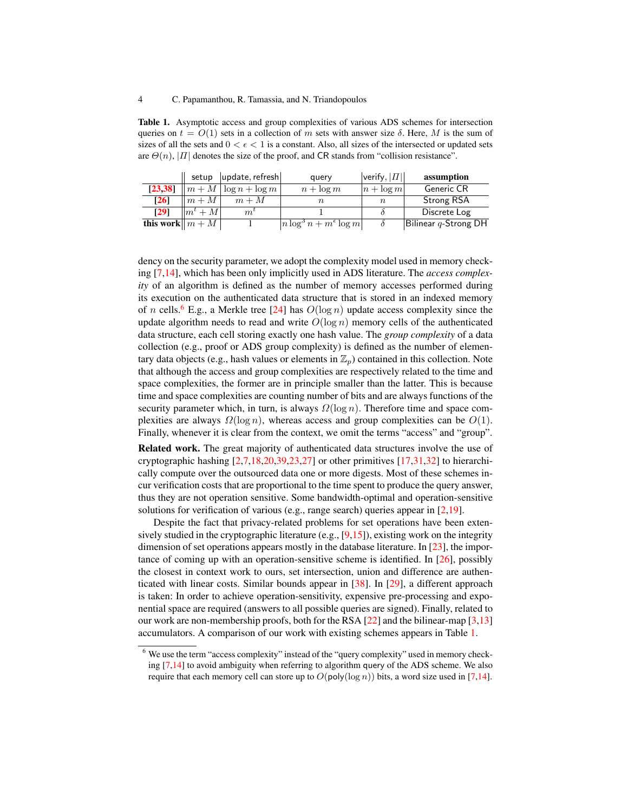<span id="page-3-1"></span>Table 1. Asymptotic access and group complexities of various ADS schemes for intersection queries on  $t = O(1)$  sets in a collection of m sets with answer size  $\delta$ . Here, M is the sum of sizes of all the sets and  $0 < \epsilon < 1$  is a constant. Also, all sizes of the intersected or updated sets are  $\Theta(n)$ ,  $|\Pi|$  denotes the size of the proof, and CR stands from "collision resistance".

|                     |             | setup   update, refresh                   | query                                | $ \mathsf{verify},   \Pi   $ | assumption              |
|---------------------|-------------|-------------------------------------------|--------------------------------------|------------------------------|-------------------------|
| [23, 38]            |             | $\parallel m+M \mid \log n + \log m \mid$ | $n + \log m$                         | $ n+\log m $                 | Generic CR              |
| $[26]$              | $m+M$       | $m+M$                                     |                                      | $\it n$                      | <b>Strong RSA</b>       |
| $\lceil 29 \rceil$  | $\ m^t+M\ $ | m                                         |                                      |                              | Discrete Log            |
| this work $\ m+M\ $ |             |                                           | $ n \log^3 n + m^{\epsilon} \log m $ | $\delta$                     | Bilinear $q$ -Strong DH |

dency on the security parameter, we adopt the complexity model used in memory checking [\[7,](#page-17-5)[14\]](#page-17-8), which has been only implicitly used in ADS literature. The *access complexity* of an algorithm is defined as the number of memory accesses performed during its execution on the authenticated data structure that is stored in an indexed memory of n cells.<sup>[6](#page-3-0)</sup> E.g., a Merkle tree [\[24\]](#page-18-11) has  $O(\log n)$  update access complexity since the update algorithm needs to read and write  $O(\log n)$  memory cells of the authenticated data structure, each cell storing exactly one hash value. The *group complexity* of a data collection (e.g., proof or ADS group complexity) is defined as the number of elementary data objects (e.g., hash values or elements in  $\mathbb{Z}_n$ ) contained in this collection. Note that although the access and group complexities are respectively related to the time and space complexities, the former are in principle smaller than the latter. This is because time and space complexities are counting number of bits and are always functions of the security parameter which, in turn, is always  $\Omega(\log n)$ . Therefore time and space complexities are always  $\Omega(\log n)$ , whereas access and group complexities can be  $O(1)$ . Finally, whenever it is clear from the context, we omit the terms "access" and "group".

Related work. The great majority of authenticated data structures involve the use of cryptographic hashing  $[2,7,18,20,39,23,27]$  $[2,7,18,20,39,23,27]$  $[2,7,18,20,39,23,27]$  $[2,7,18,20,39,23,27]$  $[2,7,18,20,39,23,27]$  $[2,7,18,20,39,23,27]$  $[2,7,18,20,39,23,27]$  or other primitives  $[17,31,32]$  $[17,31,32]$  $[17,31,32]$  to hierarchically compute over the outsourced data one or more digests. Most of these schemes incur verification costs that are proportional to the time spent to produce the query answer, thus they are not operation sensitive. Some bandwidth-optimal and operation-sensitive solutions for verification of various (e.g., range search) queries appear in  $[2,19]$  $[2,19]$ .

Despite the fact that privacy-related problems for set operations have been extensively studied in the cryptographic literature (e.g.,  $[9,15]$  $[9,15]$ ), existing work on the integrity dimension of set operations appears mostly in the database literature. In [\[23\]](#page-18-5), the importance of coming up with an operation-sensitive scheme is identified. In [\[26\]](#page-18-9), possibly the closest in context work to ours, set intersection, union and difference are authenticated with linear costs. Similar bounds appear in [\[38\]](#page-18-8). In [\[29\]](#page-18-10), a different approach is taken: In order to achieve operation-sensitivity, expensive pre-processing and exponential space are required (answers to all possible queries are signed). Finally, related to our work are non-membership proofs, both for the RSA [\[22\]](#page-18-18) and the bilinear-map [\[3](#page-17-12)[,13\]](#page-17-13) accumulators. A comparison of our work with existing schemes appears in Table [1.](#page-3-1)

<span id="page-3-0"></span><sup>6</sup> We use the term "access complexity" instead of the "query complexity" used in memory checking [\[7](#page-17-5)[,14\]](#page-17-8) to avoid ambiguity when referring to algorithm query of the ADS scheme. We also require that each memory cell can store up to  $O(poly(\log n))$  bits, a word size used in [\[7,](#page-17-5)[14\]](#page-17-8).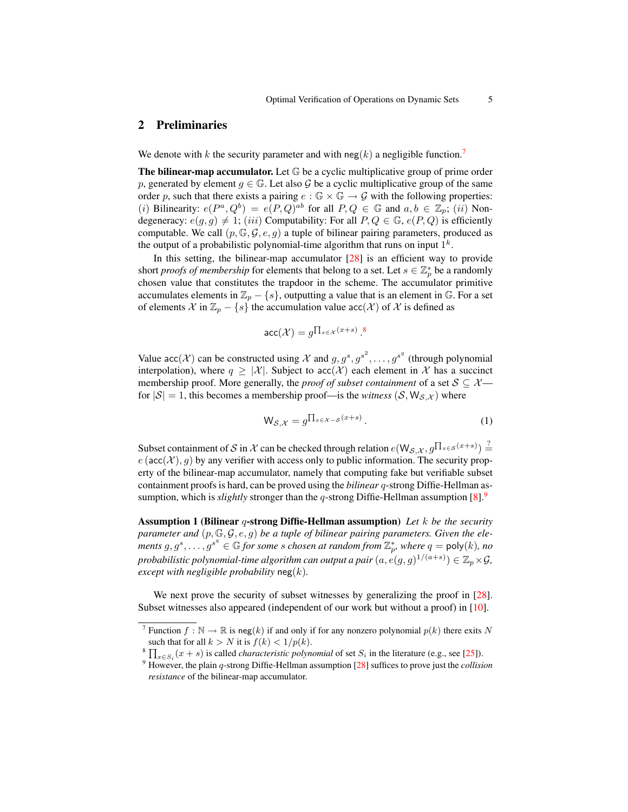# <span id="page-4-4"></span>2 Preliminaries

We denote with k the security parameter and with neg(k) a negligible function.<sup>[7](#page-4-1)</sup>

The bilinear-map accumulator. Let  $\mathbb G$  be a cyclic multiplicative group of prime order p, generated by element  $q \in \mathbb{G}$ . Let also G be a cyclic multiplicative group of the same order p, such that there exists a pairing  $e : \mathbb{G} \times \mathbb{G} \to \mathcal{G}$  with the following properties: (i) Bilinearity:  $e(P^a, Q^b) = e(P, Q)^{ab}$  for all  $P, Q \in \mathbb{G}$  and  $a, b \in \mathbb{Z}_p$ ; (ii) Nondegeneracy:  $e(g, g) \neq 1$ ; (iii) Computability: For all  $P, Q \in \mathbb{G}$ ,  $e(P, Q)$  is efficiently computable. We call  $(p, \mathbb{G}, \mathcal{G}, e, g)$  a tuple of bilinear pairing parameters, produced as the output of a probabilistic polynomial-time algorithm that runs on input  $1<sup>k</sup>$ .

In this setting, the bilinear-map accumulator [\[28\]](#page-18-7) is an efficient way to provide short *proofs of membership* for elements that belong to a set. Let  $s \in \mathbb{Z}_p^*$  be a randomly chosen value that constitutes the trapdoor in the scheme. The accumulator primitive accumulates elements in  $\mathbb{Z}_p - \{s\}$ , outputting a value that is an element in G. For a set of elements  $\mathcal X$  in  $\mathbb{Z}_p - \{s\}$  the accumulation value  $\operatorname{acc}(\mathcal X)$  of  $\mathcal X$  is defined as

$$
\mathrm{acc}(\mathcal{X}) = g^{\prod_{x \in \mathcal{X}} (x+s)}.
$$

Value acc(X) can be constructed using X and  $g, g^s, g^{s^2}, \ldots, g^{s^q}$  (through polynomial interpolation), where  $q > |\mathcal{X}|$ . Subject to  $\text{acc}(\mathcal{X})$  each element in X has a succinct membership proof. More generally, the *proof of subset containment* of a set  $S \subseteq \mathcal{X}$  for  $|S| = 1$ , this becomes a membership proof—is the *witness*  $(S, W_{S,X})$  where

<span id="page-4-6"></span><span id="page-4-5"></span>
$$
\mathsf{W}_{\mathcal{S},\mathcal{X}} = g^{\prod_{x \in \mathcal{X} - \mathcal{S}} (x+s)}.
$$
\n<sup>(1)</sup>

Subset containment of S in X can be checked through relation  $e(W_{\mathcal{S},\mathcal{X}}, g^{\prod_{x\in\mathcal{S}}(x+s)})\stackrel{?}{=}$  $e$  (acc(X), g) by any verifier with access only to public information. The security property of the bilinear-map accumulator, namely that computing fake but verifiable subset containment proofs is hard, can be proved using the *bilinear* q-strong Diffie-Hellman assumption, which is *slightly* stronger than the q-strong Diffie-Hellman assumption [\[8\]](#page-17-7).[9](#page-4-3)

Assumption 1 (Bilinear q-strong Diffie-Hellman assumption) *Let* k *be the security parameter and*  $(p, \mathbb{G}, \mathcal{G}, e, g)$  *be a tuple of bilinear pairing parameters. Given the ele-* $S^{m}$  *ments*  $g, g^{s}, \ldots, g^{s^{q}} \in \mathbb{G}$  *for some s chosen at random from*  $\mathbb{Z}_{p}^{*}$ *, where*  $q = \text{poly}(k)$ *, no* probabilistic polynomial-time algorithm can output a pair  $(a, e(g,g)^{1/(a+s)}) \in \mathbb{Z}_p{\times}\mathcal{G}$ , *except with negligible probability*  $\text{neg}(k)$ *.* 

We next prove the security of subset witnesses by generalizing the proof in [\[28\]](#page-18-7). Subset witnesses also appeared (independent of our work but without a proof) in [\[10\]](#page-17-14).

<span id="page-4-1"></span><span id="page-4-0"></span><sup>&</sup>lt;sup>7</sup> Function  $f : \mathbb{N} \to \mathbb{R}$  is neg(k) if and only if for any nonzero polynomial  $p(k)$  there exits N such that for all  $k > N$  it is  $f(k) < 1/p(k)$ .

<span id="page-4-2"></span> $\sum_{s=1}^{8} \prod_{x \in S_i} (x + s)$  is called *characteristic polynomial* of set  $S_i$  in the literature (e.g., see [\[25\]](#page-18-19)).

<span id="page-4-3"></span> $9 \nightharpoonup$  However, the plain q-strong Diffie-Hellman assumption [\[28\]](#page-18-7) suffices to prove just the *collision resistance* of the bilinear-map accumulator.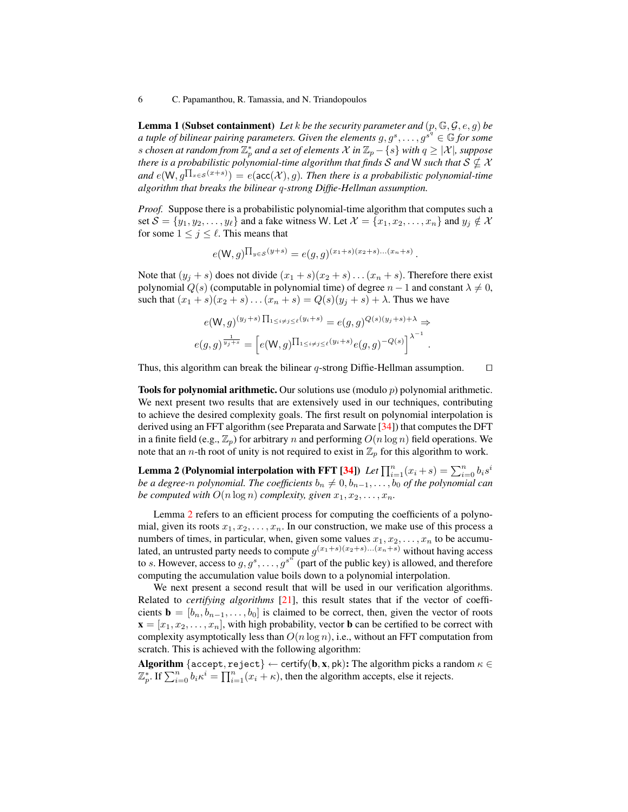**Lemma 1 (Subset containment)** Let k be the security parameter and  $(p, \mathbb{G}, \mathcal{G}, e, g)$  be *a tuple of bilinear pairing parameters. Given the elements*  $g, g^s, \ldots, g^{s^q} \in \mathbb{G}$  for some s chosen at random from  $\mathbb{Z}_p^*$  and a set of elements  $\mathcal X$  in  $\mathbb{Z}_p - \{s\}$  with  $q \geq |\mathcal X|$ , suppose *there is a probabilistic polynomial-time algorithm that finds*  $S$  *and* W *such that*  $S \nsubseteq \mathcal{X}$ and  $e(\mathsf{W}, g^{\prod_{x \in \mathcal{S}}(x+s)}) = e(\mathsf{acc}(\mathcal{X}), g)$ . Then there is a probabilistic polynomial-time *algorithm that breaks the bilinear* q*-strong Diffie-Hellman assumption.*

*Proof.* Suppose there is a probabilistic polynomial-time algorithm that computes such a set  $S = \{y_1, y_2, \ldots, y_\ell\}$  and a fake witness W. Let  $\mathcal{X} = \{x_1, x_2, \ldots, x_n\}$  and  $y_j \notin \mathcal{X}$ for some  $1 \leq j \leq \ell$ . This means that

$$
e(\mathsf{W}, g)\Pi_{y \in \mathcal{S}}(y+s) = e(g, g)^{(x_1+s)(x_2+s)\dots(x_n+s)}.
$$

Note that  $(y_j + s)$  does not divide  $(x_1 + s)(x_2 + s) \dots (x_n + s)$ . Therefore there exist polynomial  $Q(s)$  (computable in polynomial time) of degree  $n - 1$  and constant  $\lambda \neq 0$ , such that  $(x_1 + s)(x_2 + s) \dots (x_n + s) = Q(s)(y_i + s) + \lambda$ . Thus we have

<span id="page-5-0"></span>
$$
e(\mathsf{W},g)^{(y_j+s)}\Pi_{1\leq i\neq j\leq \ell}(y_i+s) = e(g,g)^{Q(s)(y_j+s)+\lambda} \Rightarrow
$$
  

$$
e(g,g)^{\frac{1}{y_j+s}} = \left[e(\mathsf{W},g)\Pi_{1\leq i\neq j\leq \ell}(y_i+s)}e(g,g)^{-Q(s)}\right]^{\lambda^{-1}}.
$$

Thus, this algorithm can break the bilinear q-strong Diffie-Hellman assumption.  $\square$ 

**Tools for polynomial arithmetic.** Our solutions use (modulo  $p$ ) polynomial arithmetic. We next present two results that are extensively used in our techniques, contributing to achieve the desired complexity goals. The first result on polynomial interpolation is derived using an FFT algorithm (see Preparata and Sarwate [\[34\]](#page-18-20)) that computes the DFT in a finite field (e.g.,  $\mathbb{Z}_p$ ) for arbitrary n and performing  $O(n \log n)$  field operations. We note that an *n*-th root of unity is not required to exist in  $\mathbb{Z}_p$  for this algorithm to work.

Lemma 2 (Polynomial interpolation with FFT [\[34\]](#page-18-20)) *Let*  $\prod_{i=1}^{n}(x_i + s) = \sum_{i=0}^{n} b_i s^i$ *be a degree-n polynomial. The coefficients*  $b_n \neq 0$ ,  $b_{n-1}$ , . . . ,  $b_0$  *of the polynomial can be computed with*  $O(n \log n)$  *complexity, given*  $x_1, x_2, \ldots, x_n$ *.* 

Lemma [2](#page-5-0) refers to an efficient process for computing the coefficients of a polynomial, given its roots  $x_1, x_2, \ldots, x_n$ . In our construction, we make use of this process a numbers of times, in particular, when, given some values  $x_1, x_2, \ldots, x_n$  to be accumulated, an untrusted party needs to compute  $g^{(x_1+s)(x_2+s)...(x_n+s)}$  without having access to s. However, access to  $g, g^s, \ldots, g^{s^n}$  (part of the public key) is allowed, and therefore computing the accumulation value boils down to a polynomial interpolation.

We next present a second result that will be used in our verification algorithms. Related to *certifying algorithms* [\[21\]](#page-18-2), this result states that if the vector of coefficients  $\mathbf{b} = [b_n, b_{n-1}, \dots, b_0]$  is claimed to be correct, then, given the vector of roots  $\mathbf{x} = [x_1, x_2, \dots, x_n]$ , with high probability, vector **b** can be certified to be correct with complexity asymptotically less than  $O(n \log n)$ , i.e., without an FFT computation from scratch. This is achieved with the following algorithm:

<span id="page-5-1"></span>Algorithm {accept, reject}  $\leftarrow$  certify(b, x, pk): The algorithm picks a random  $\kappa \in$  $\mathbb{Z}_p^*$ . If  $\sum_{i=0}^n b_i \kappa^i = \prod_{i=1}^n (x_i + \kappa)$ , then the algorithm accepts, else it rejects.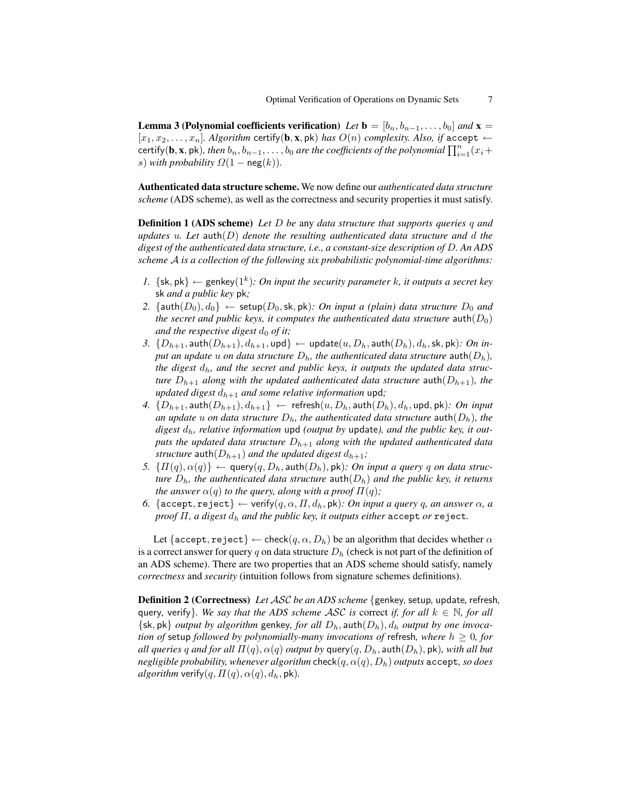**Lemma 3 (Polynomial coefficients verification)** *Let*  $\mathbf{b} = [b_n, b_{n-1}, \ldots, b_0]$  *and*  $\mathbf{x} =$  $[x_1, x_2, \ldots, x_n]$ . Algorithm certify(**b**, **x**, **pk**) has  $O(n)$  *complexity. Also, if* accept  $\leftarrow$  $\textsf{certify}(\mathbf{b}, \mathbf{x}, \mathsf{pk})$ , then  $b_n, b_{n-1}, \ldots, b_0$  are the coefficients of the polynomial  $\prod_{i=1}^n (x_i + b_i)$ s) with probability  $\Omega(1 - \text{neg}(k))$ .

Authenticated data structure scheme. We now define our *authenticated data structure scheme* (ADS scheme), as well as the correctness and security properties it must satisfy.

<span id="page-6-0"></span>Definition 1 (ADS scheme) *Let* D *be* any *data structure that supports queries* q *and updates* u*. Let* auth(D) *denote the resulting authenticated data structure and* d *the digest of the authenticated data structure, i.e., a constant-size description of* D*. An ADS scheme* A *is a collection of the following six probabilistic polynomial-time algorithms:*

- *1.*  $\{sk, pk\}$  ← genkey $(1<sup>k</sup>)$ : On input the security parameter k, it outputs a secret key sk *and a public key* pk*;*
- 2.  $\{ \text{auth}(D_0), d_0 \} \leftarrow \text{setup}(D_0, \text{sk}, \text{pk})$ : On input a (plain) data structure  $D_0$  and *the secret and public keys, it computes the authenticated data structure* auth $(D_0)$ *and the respective digest*  $d_0$  *of it;*
- 3.  $\{D_{h+1}, \textsf{auth}(D_{h+1}), d_{h+1}, \textsf{upd}\} \leftarrow \textsf{update}(u, D_h, \textsf{auth}(D_h), d_h, \textsf{sk}, \textsf{pk})$ : On in*put an update* u *on data structure*  $D_h$ *, the authenticated data structure* auth $(D_h)$ *, the digest*  $d_h$ , and the secret and public keys, it outputs the updated data struc*ture*  $D_{h+1}$  *along with the updated authenticated data structure* auth $(D_{h+1})$ *, the updated digest*  $d_{h+1}$  *and some relative information* upd;
- $4. \{D_{h+1}, \textsf{auth}(D_{h+1}), d_{h+1}\} \leftarrow \text{refresh}(u, D_h, \textsf{auth}(D_h), d_h, \textsf{upd}, \textsf{pk})$ : On input an update *u* on data structure  $D_h$ , the authenticated data structure auth $(D_h)$ , the *digest* dh*, relative information* upd *(output by* update*), and the public key, it outputs the updated data structure*  $D_{h+1}$  *along with the updated authenticated data structure* auth $(D_{h+1})$  *and the updated digest*  $d_{h+1}$ *;*
- 5.  $\{ \Pi(q), \alpha(q) \} \leftarrow$  query $(q, D_h, \text{auth}(D_h), \text{pk})$ : On input a query q on data struc*ture*  $D_h$ , the authenticated data structure auth $(D_h)$  and the public key, it returns *the answer*  $\alpha(q)$  *to the query, along with a proof*  $\Pi(q)$ *;*
- *6.* {accept, reject}  $\leftarrow$  verify $(q, \alpha, \Pi, d_h, \text{pk})$ *: On input a query q, an answer*  $\alpha$ *, a proof*  $\Pi$ , *a digest*  $d_h$  *and the public key, it outputs either* accept *or* reject.

Let {accept, reject}  $\leftarrow$  check $(q, \alpha, D_h)$  be an algorithm that decides whether  $\alpha$ is a correct answer for query q on data structure  $D<sub>h</sub>$  (check is not part of the definition of an ADS scheme). There are two properties that an ADS scheme should satisfy, namely *correctness* and *security* (intuition follows from signature schemes definitions).

<span id="page-6-2"></span><span id="page-6-1"></span>Definition 2 (Correctness) *Let* ASC *be an ADS scheme* {genkey*,*setup*,* update*,* refresh*,* query, verify*}. We say that the ADS scheme ASC is correct <i>if, for all*  $k \in \mathbb{N}$ *, for all*  $\{sk, pk\}$  *output by algorithm* genkey, for all  $D_h$ , auth $(D_h)$ ,  $d_h$  *output by one invocation of* setup *followed by polynomially-many invocations of refresh, where*  $h \geq 0$ *, for all queries* q and for all  $\Pi(q)$ ,  $\alpha(q)$  *output by* query $(q, D_h)$ , auth $(D_h)$ , pk)*, with all but negligible probability, whenever algorithm* check $(q, \alpha(q), D_h)$  *outputs* accept, so does *algorithm* verify $(q, \Pi(q), \alpha(q), d_h, \mathsf{pk})$ .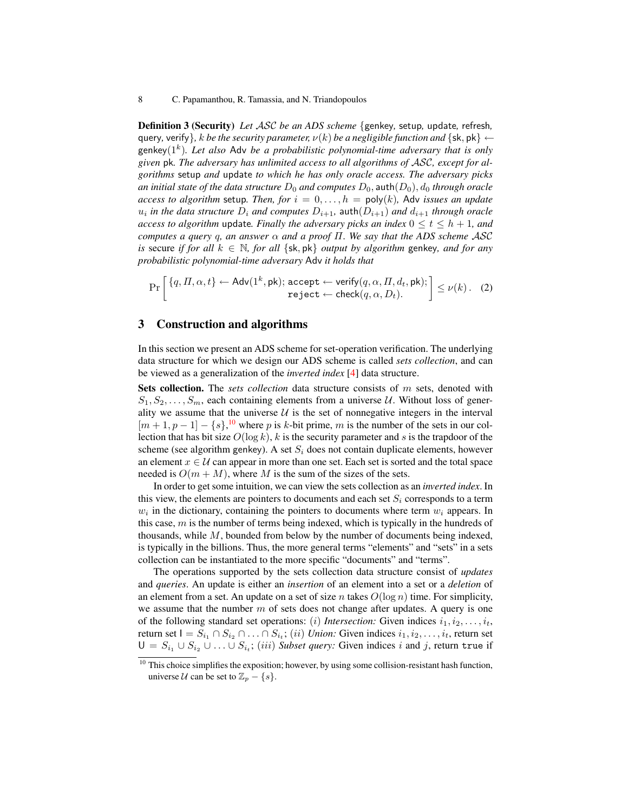Definition 3 (Security) *Let* ASC *be an ADS scheme* {genkey*,* setup*,* update*,* refresh*,* query, verify *}, k be the security parameter,*  $\nu(k)$  *be a negligible function and*  $\{sk, pk\} \leftarrow$ genkey(1<sup>k</sup> )*. Let also* Adv *be a probabilistic polynomial-time adversary that is only given* pk*. The adversary has unlimited access to all algorithms of* ASC*, except for algorithms* setup *and* update *to which he has only oracle access. The adversary picks an initial state of the data structure*  $D_0$  *and computes*  $D_0$ , **auth** $(D_0)$ ,  $d_0$  *through oracle access to algorithm* setup. Then, for  $i = 0, \ldots, h = \text{poly}(k)$ , Adv *issues an update*  $u_i$  in the data structure  $D_i$  and computes  $D_{i+1}$ , auth $(D_{i+1})$  and  $d_{i+1}$  through oracle *access to algorithm* update. Finally the adversary picks an index  $0 \le t \le h + 1$ , and *computes a query* q*, an answer* α *and a proof* Π*. We say that the ADS scheme* ASC *is* secure *if for all*  $k \in \mathbb{N}$ *, for all* {sk, pk} *output by algorithm* genkey*, and for any probabilistic polynomial-time adversary* Adv *it holds that*

$$
\Pr\left[\left\{q, \Pi, \alpha, t\right\} \leftarrow \mathsf{Adv}(1^k, \mathsf{pk}); \, \mathsf{accept} \leftarrow \mathsf{verify}(q, \alpha, \Pi, d_t, \mathsf{pk});\right] \le \nu(k). \quad (2)
$$
\n
$$
\mathsf{reject} \leftarrow \mathsf{check}(q, \alpha, D_t).
$$

### 3 Construction and algorithms

In this section we present an ADS scheme for set-operation verification. The underlying data structure for which we design our ADS scheme is called *sets collection*, and can be viewed as a generalization of the *inverted index* [\[4\]](#page-17-15) data structure.

Sets collection. The *sets collection* data structure consists of m sets, denoted with  $S_1, S_2, \ldots, S_m$ , each containing elements from a universe U. Without loss of generality we assume that the universe  $U$  is the set of nonnegative integers in the interval  $[m+1, p-1] - \{s\}$ ,<sup>[10](#page-7-0)</sup> where p is k-bit prime, m is the number of the sets in our collection that has bit size  $O(\log k)$ , k is the security parameter and s is the trapdoor of the scheme (see algorithm genkey). A set  $S_i$  does not contain duplicate elements, however an element  $x \in U$  can appear in more than one set. Each set is sorted and the total space needed is  $O(m + M)$ , where M is the sum of the sizes of the sets.

In order to get some intuition, we can view the sets collection as an *inverted index*. In this view, the elements are pointers to documents and each set  $S_i$  corresponds to a term  $w_i$  in the dictionary, containing the pointers to documents where term  $w_i$  appears. In this case,  $m$  is the number of terms being indexed, which is typically in the hundreds of thousands, while  $M$ , bounded from below by the number of documents being indexed, is typically in the billions. Thus, the more general terms "elements" and "sets" in a sets collection can be instantiated to the more specific "documents" and "terms".

The operations supported by the sets collection data structure consist of *updates* and *queries*. An update is either an *insertion* of an element into a set or a *deletion* of an element from a set. An update on a set of size n takes  $O(\log n)$  time. For simplicity, we assume that the number  $m$  of sets does not change after updates. A query is one of the following standard set operations: (i) *Intersection:* Given indices  $i_1, i_2, \ldots, i_t$ , return set  $I = S_{i_1} \cap S_{i_2} \cap \ldots \cap S_{i_t}$ ; (*ii*) *Union*: Given indices  $i_1, i_2, \ldots, i_t$ , return set  $\mathsf{U} = S_{i_1} \cup S_{i_2} \cup \ldots \cup S_{i_t}$ ; (*iii*) *Subset query:* Given indices *i* and *j*, return true if

<span id="page-7-0"></span> $10$  This choice simplifies the exposition; however, by using some collision-resistant hash function, universe  $U$  can be set to  $\mathbb{Z}_p - \{s\}.$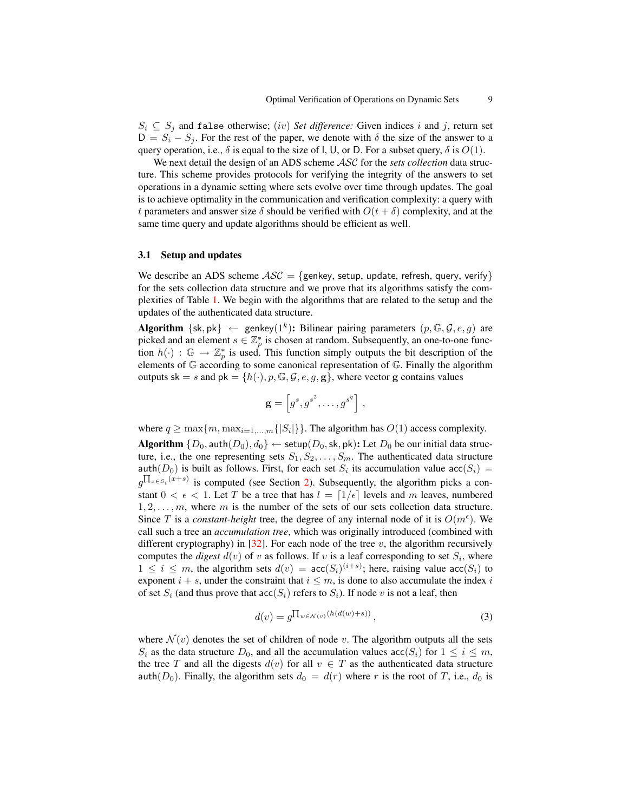$S_i \subseteq S_j$  and false otherwise; *(iv) Set difference:* Given indices i and j, return set  $D = S_i - S_j$ . For the rest of the paper, we denote with  $\delta$  the size of the answer to a query operation, i.e.,  $\delta$  is equal to the size of I, U, or D. For a subset query,  $\delta$  is  $O(1)$ .

We next detail the design of an ADS scheme ASC for the *sets collection* data structure. This scheme provides protocols for verifying the integrity of the answers to set operations in a dynamic setting where sets evolve over time through updates. The goal is to achieve optimality in the communication and verification complexity: a query with t parameters and answer size  $\delta$  should be verified with  $O(t + \delta)$  complexity, and at the same time query and update algorithms should be efficient as well.

### 3.1 Setup and updates

We describe an ADS scheme  $\mathcal{A}\mathcal{S}\mathcal{C} = \{\text{genkey}, \text{setup}, \text{update}, \text{refresh}, \text{query}, \text{verify}\}\$ for the sets collection data structure and we prove that its algorithms satisfy the complexities of Table [1.](#page-3-1) We begin with the algorithms that are related to the setup and the updates of the authenticated data structure.

Algorithm  $\{sk, pk\} \leftarrow$  genkey $(1^k)$ : Bilinear pairing parameters  $(p, \mathbb{G}, \mathcal{G}, e, g)$  are picked and an element  $s \in \mathbb{Z}_p^*$  is chosen at random. Subsequently, an one-to-one function  $h(\cdot)$ :  $\mathbb{G} \to \mathbb{Z}_p^*$  is used. This function simply outputs the bit description of the elements of G according to some canonical representation of G. Finally the algorithm outputs sk = s and pk = { $h(\cdot), p, \mathbb{G}, \mathcal{G}, e, g, g$ }, where vector g contains values

$$
\mathbf{g} = \left[ g^s, g^{s^2}, \dots, g^{s^q} \right],
$$

where  $q \ge \max\{m, \max_{i=1,\dots,m} \{|S_i|\}\}\.$  The algorithm has  $O(1)$  access complexity.

Algorithm  $\{D_0, \text{auth}(D_0), d_0\} \leftarrow \text{setup}(D_0, \text{sk}, \text{pk})$ : Let  $D_0$  be our initial data structure, i.e., the one representing sets  $S_1, S_2, \ldots, S_m$ . The authenticated data structure auth $(D_0)$  is built as follows. First, for each set  $S_i$  its accumulation value  $\operatorname{acc}(S_i) =$  $g^{\prod_{x \in S_i}(x+s)}$  is computed (see Section [2\)](#page-4-4). Subsequently, the algorithm picks a constant  $0 < \epsilon < 1$ . Let T be a tree that has  $l = \lceil 1/\epsilon \rceil$  levels and m leaves, numbered  $1, 2, \ldots, m$ , where m is the number of the sets of our sets collection data structure. Since T is a *constant-height* tree, the degree of any internal node of it is  $O(m^{\epsilon})$ . We call such a tree an *accumulation tree*, which was originally introduced (combined with different cryptography) in  $[32]$ . For each node of the tree v, the algorithm recursively computes the *digest*  $d(v)$  of v as follows. If v is a leaf corresponding to set  $S_i$ , where  $1 \leq i \leq m$ , the algorithm sets  $d(v) = \text{acc}(S_i)^{(i+s)}$ ; here, raising value  $\text{acc}(S_i)$  to exponent  $i + s$ , under the constraint that  $i \leq m$ , is done to also accumulate the index i of set  $S_i$  (and thus prove that  $acc(S_i)$  refers to  $S_i$ ). If node v is not a leaf, then

$$
d(v) = g^{\prod_{w \in \mathcal{N}(v)} (h(d(w) + s))}, \qquad (3)
$$

where  $\mathcal{N}(v)$  denotes the set of children of node v. The algorithm outputs all the sets  $S_i$  as the data structure  $D_0$ , and all the accumulation values  $\operatorname{acc}(S_i)$  for  $1 \leq i \leq m$ , the tree T and all the digests  $d(v)$  for all  $v \in T$  as the authenticated data structure auth( $D_0$ ). Finally, the algorithm sets  $d_0 = d(r)$  where r is the root of T, i.e.,  $d_0$  is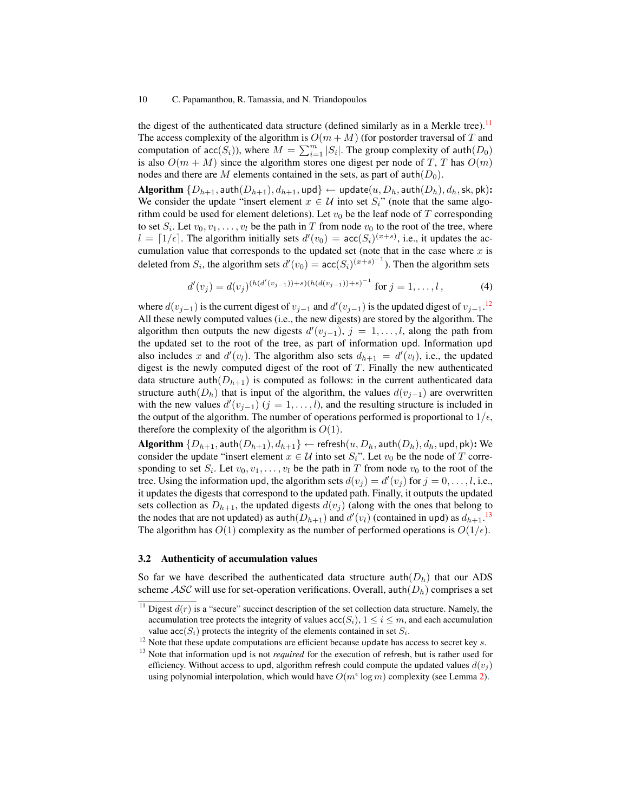the digest of the authenticated data structure (defined similarly as in a Merkle tree).<sup>[11](#page-9-0)</sup> The access complexity of the algorithm is  $O(m + M)$  (for postorder traversal of T and computation of  $\mathsf{acc}(S_i)$ ), where  $M = \sum_{i=1}^{m} |S_i|$ . The group complexity of  $\mathsf{auth}(D_0)$ is also  $O(m + M)$  since the algorithm stores one digest per node of T, T has  $O(m)$ nodes and there are M elements contained in the sets, as part of auth $(D_0)$ .

Algorithm  $\{D_{h+1}, \text{auth}(D_{h+1}), d_{h+1}, \text{upd}\} \leftarrow \text{update}(u, D_h, \text{auth}(D_h), d_h, \text{sk}, \text{pk})$ : We consider the update "insert element  $x \in \mathcal{U}$  into set  $S_i$ " (note that the same algorithm could be used for element deletions). Let  $v_0$  be the leaf node of  $T$  corresponding to set  $S_i$ . Let  $v_0, v_1, \ldots, v_l$  be the path in T from node  $v_0$  to the root of the tree, where  $l = \lceil 1/\epsilon \rceil$ . The algorithm initially sets  $d'(v_0) = \text{acc}(S_i)^{(x+s)}$ , i.e., it updates the accumulation value that corresponds to the updated set (note that in the case where  $x$  is deleted from  $S_i$ , the algorithm sets  $d'(v_0) = \text{acc}(S_i)^{(x+s)^{-1}}$ ). Then the algorithm sets

$$
d'(v_j) = d(v_j)^{(h(d'(v_{j-1})) + s)(h(d(v_{j-1})) + s)^{-1}} \text{ for } j = 1, ..., l,
$$
 (4)

where  $d(v_{j-1})$  is the current digest of  $v_{j-1}$  and  $d'(v_{j-1})$  is the updated digest of  $v_{j-1}$ .<sup>[12](#page-9-1)</sup> All these newly computed values (i.e., the new digests) are stored by the algorithm. The algorithm then outputs the new digests  $d'(v_{j-1}), j = 1, \ldots, l$ , along the path from the updated set to the root of the tree, as part of information upd. Information upd also includes x and  $d'(v_l)$ . The algorithm also sets  $d_{h+1} = d'(v_l)$ , i.e., the updated digest is the newly computed digest of the root of  $T$ . Finally the new authenticated data structure auth $(D_{h+1})$  is computed as follows: in the current authenticated data structure auth( $D_h$ ) that is input of the algorithm, the values  $d(v_{j-1})$  are overwritten with the new values  $d'(v_{j-1})$   $(j = 1, \ldots, l)$ , and the resulting structure is included in the output of the algorithm. The number of operations performed is proportional to  $1/\epsilon$ , therefore the complexity of the algorithm is  $O(1)$ .

Algorithm  $\{D_{h+1}, \text{auth}(D_{h+1}), d_{h+1}\} \leftarrow \text{refresh}(u, D_h, \text{auth}(D_h), d_h, \text{upd}, \text{pk})$ : We consider the update "insert element  $x \in \mathcal{U}$  into set  $S_i$ ". Let  $v_0$  be the node of T corresponding to set  $S_i$ . Let  $v_0, v_1, \ldots, v_l$  be the path in T from node  $v_0$  to the root of the tree. Using the information upd, the algorithm sets  $d(v_j) = d'(v_j)$  for  $j = 0, \ldots, l$ , i.e., it updates the digests that correspond to the updated path. Finally, it outputs the updated sets collection as  $D_{h+1}$ , the updated digests  $d(v_i)$  (along with the ones that belong to the nodes that are not updated) as  $\text{auth}(D_{h+1})$  and  $d'(v_l)$  (contained in upd) as  $d_{h+1}$ .<sup>[13](#page-9-2)</sup> The algorithm has  $O(1)$  complexity as the number of performed operations is  $O(1/\epsilon)$ .

### 3.2 Authenticity of accumulation values

So far we have described the authenticated data structure  $\text{auth}(D_h)$  that our ADS scheme  $\mathcal{A}\mathcal{S}\mathcal{C}$  will use for set-operation verifications. Overall, auth $(D_h)$  comprises a set

<span id="page-9-0"></span><sup>&</sup>lt;sup>11</sup> Digest  $d(r)$  is a "secure" succinct description of the set collection data structure. Namely, the accumulation tree protects the integrity of values  $\operatorname{acc}(S_i)$ ,  $1 \leq i \leq m$ , and each accumulation value  $\operatorname{acc}(S_i)$  protects the integrity of the elements contained in set  $S_i$ .

<span id="page-9-1"></span> $12$  Note that these update computations are efficient because update has access to secret key  $s$ .

<span id="page-9-2"></span><sup>&</sup>lt;sup>13</sup> Note that information upd is not *required* for the execution of refresh, but is rather used for efficiency. Without access to upd, algorithm refresh could compute the updated values  $d(v_i)$ using polynomial interpolation, which would have  $O(m^{\epsilon} \log m)$  complexity (see Lemma [2\)](#page-5-0).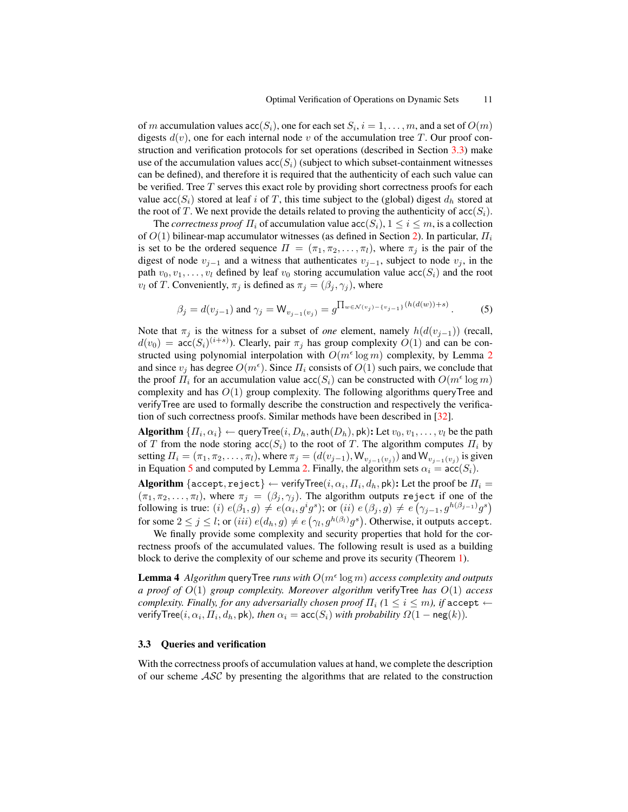of  $m$  accumulation values acc $(S_i)$ , one for each set  $S_i$ ,  $i=1,\ldots,m,$  and a set of  $O(m)$ digests  $d(v)$ , one for each internal node v of the accumulation tree T. Our proof construction and verification protocols for set operations (described in Section [3.3\)](#page-10-1) make use of the accumulation values  $\operatorname{acc}(S_i)$  (subject to which subset-containment witnesses can be defined), and therefore it is required that the authenticity of each such value can be verified. Tree T serves this exact role by providing short correctness proofs for each value  $\text{acc}(S_i)$  stored at leaf i of T, this time subject to the (global) digest  $d_h$  stored at the root of T. We next provide the details related to proving the authenticity of  $\text{acc}(S_i)$ .

The *correctness proof*  $\Pi_i$  of accumulation value  $\operatorname{acc}(S_i)$ ,  $1 \leq i \leq m$ , is a collection of  $O(1)$  bilinear-map accumulator witnesses (as defined in Section [2\)](#page-4-4). In particular,  $\Pi_i$ is set to be the ordered sequence  $\Pi = (\pi_1, \pi_2, \dots, \pi_l)$ , where  $\pi_j$  is the pair of the digest of node  $v_{j-1}$  and a witness that authenticates  $v_{j-1}$ , subject to node  $v_j$ , in the path  $v_0, v_1, \ldots, v_l$  defined by leaf  $v_0$  storing accumulation value  $\text{acc}(S_i)$  and the root  $v_l$  of T. Conveniently,  $\pi_j$  is defined as  $\pi_j = (\beta_j, \gamma_j)$ , where

<span id="page-10-2"></span>
$$
\beta_j = d(v_{j-1}) \text{ and } \gamma_j = \mathsf{W}_{v_{j-1}(v_j)} = g^{\prod_{w \in \mathcal{N}(v_j) - \{v_{j-1}\}} (h(d(w)) + s)}.
$$
 (5)

Note that  $\pi_j$  is the witness for a subset of *one* element, namely  $h(d(v_{j-1}))$  (recall,  $d(v_0) = \text{acc}(S_i)^{(i+s)}$ ). Clearly, pair  $\pi_j$  has group complexity  $O(1)$  and can be constructed using polynomial interpolation with  $O(m^{\epsilon} \log m)$  complexity, by Lemma [2](#page-5-0) and since  $v_j$  has degree  $O(m^{\epsilon})$ . Since  $\overline{H}_i$  consists of  $O(1)$  such pairs, we conclude that the proof  $\overline{H}_i$  for an accumulation value  $\operatorname{acc}(S_i)$  can be constructed with  $O(m^{\epsilon} \log m)$ complexity and has  $O(1)$  group complexity. The following algorithms queryTree and verifyTree are used to formally describe the construction and respectively the verification of such correctness proofs. Similar methods have been described in [\[32\]](#page-18-6).

 ${\bf Algorithm \{ {\it \Pi}_i, \alpha_i\} \leftarrow$  query ${\sf Tree}(i, D_h, {\sf {auth}}(D_h), {\sf pk}) {\sf : }$  Let  $v_0, v_1, \ldots, v_l$  be the path of T from the node storing  $\operatorname{acc}(S_i)$  to the root of T. The algorithm computes  $\Pi_i$  by setting  $\Pi_i = (\pi_1, \pi_2, \dots, \pi_l)$ , where  $\pi_j = (d(v_{j-1}), \mathsf{W}_{v_{j-1}(v_j)})$  and  $\mathsf{W}_{v_{j-1}(v_j)}$  is given in Equation [5](#page-10-2) and computed by Lemma [2.](#page-5-0) Finally, the algorithm sets  $\alpha_i = \text{acc}(S_i)$ .

Algorithm {accept, reject} ← verifyTree(i, α<sup>i</sup> , Π<sup>i</sup> , dh, pk): Let the proof be Π<sup>i</sup> =  $(\pi_1, \pi_2, \ldots, \pi_l)$ , where  $\pi_j = (\beta_j, \gamma_j)$ . The algorithm outputs reject if one of the following is true: (i)  $e(\beta_1, g) \neq e(\alpha_i, g^i g^s)$ ; or (ii)  $e(\beta_j, g) \neq e(\gamma_{j-1}, g^{h(\beta_{j-1})} g^s)$ for some  $2\leq j\leq l;$  or  $(iii)$   $e(d_h,g)\neq e\left( \gamma_l,g^{h(\beta_l)}g^{s}\right) .$  Otherwise, it outputs accept.

<span id="page-10-0"></span>We finally provide some complexity and security properties that hold for the correctness proofs of the accumulated values. The following result is used as a building block to derive the complexity of our scheme and prove its security (Theorem [1\)](#page-14-0).

**Lemma 4** Algorithm queryTree runs with  $O(m^{\epsilon} \log m)$  access complexity and outputs *a proof of* O(1) *group complexity. Moreover algorithm* verifyTree *has* O(1) *access complexity. Finally, for any adversarially chosen proof*  $\Pi_i$  ( $1 \leq i \leq m$ ), if accept  $\leftarrow$ verify  $\mathsf{Tree}(i, \alpha_i, \Pi_i, d_h, \mathsf{pk})$ *, then*  $\alpha_i = \mathsf{acc}(S_i)$  *with probability*  $\Omega(1 - \mathsf{neg}(k))$ *.* 

### <span id="page-10-1"></span>3.3 Queries and verification

With the correctness proofs of accumulation values at hand, we complete the description of our scheme ASC by presenting the algorithms that are related to the construction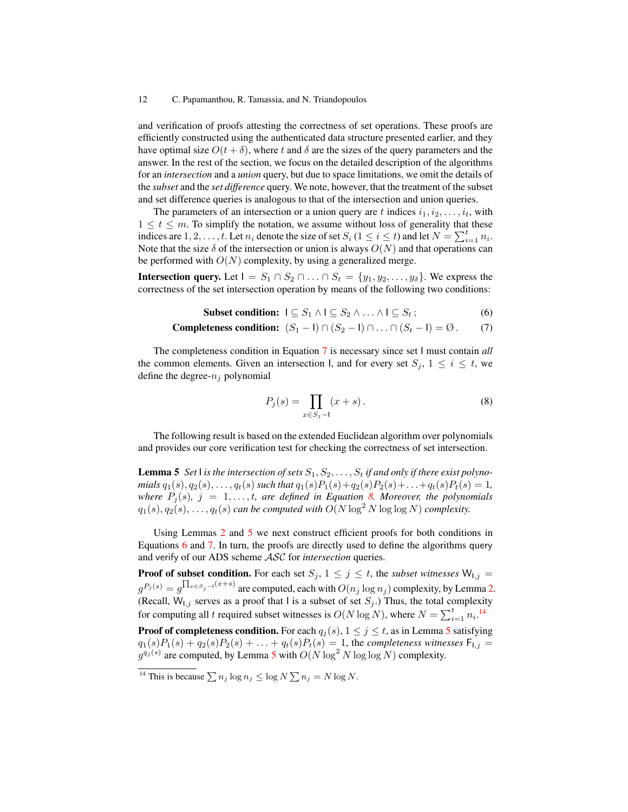and verification of proofs attesting the correctness of set operations. These proofs are efficiently constructed using the authenticated data structure presented earlier, and they have optimal size  $O(t + \delta)$ , where t and  $\delta$  are the sizes of the query parameters and the answer. In the rest of the section, we focus on the detailed description of the algorithms for an *intersection* and a *union* query, but due to space limitations, we omit the details of the *subset* and the *set difference* query. We note, however, that the treatment of the subset and set difference queries is analogous to that of the intersection and union queries.

The parameters of an intersection or a union query are t indices  $i_1, i_2, \ldots, i_t$ , with  $1 \leq t \leq m$ . To simplify the notation, we assume without loss of generality that these indices are  $1, 2, ..., t$ . Let  $n_i$  denote the size of set  $S_i$  ( $1 \le i \le t$ ) and let  $N = \sum_{i=1}^t n_i$ . Note that the size  $\delta$  of the intersection or union is always  $O(N)$  and that operations can be performed with  $O(N)$  complexity, by using a generalized merge.

**Intersection query.** Let  $I = S_1 \cap S_2 \cap \ldots \cap S_t = \{y_1, y_2, \ldots, y_\delta\}$ . We express the correctness of the set intersection operation by means of the following two conditions:

<span id="page-11-1"></span>**Subset condition:** 
$$
1 \subseteq S_1 \land 1 \subseteq S_2 \land ... \land 1 \subseteq S_t;
$$
 (6)

**Completeness condition:** 
$$
(S_1 - I) \cap (S_2 - I) \cap ... \cap (S_t - I) = \emptyset
$$
. (7)

The completeness condition in Equation [7](#page-11-1) is necessary since set I must contain *all* the common elements. Given an intersection I, and for every set  $S_j$ ,  $1 \leq i \leq t$ , we define the degree- $n_i$  polynomial

<span id="page-11-2"></span>
$$
P_j(s) = \prod_{x \in S_j - 1} (x + s).
$$
 (8)

The following result is based on the extended Euclidean algorithm over polynomials and provides our core verification test for checking the correctness of set intersection.

<span id="page-11-0"></span>**Lemma 5** Set *l* is the intersection of sets  $S_1, S_2, \ldots, S_t$  if and only if there exist polyno*mials*  $q_1(s), q_2(s), \ldots, q_t(s)$  *such that*  $q_1(s)P_1(s) + q_2(s)P_2(s) + \ldots + q_t(s)P_t(s) = 1$ , *where*  $P_i(s)$ ,  $j = 1, \ldots, t$ , are defined in Equation [8.](#page-11-2) Moreover, the polynomials  $q_1(s), q_2(s), \ldots, q_t(s)$  *can be computed with*  $O(N \log^2 N \log \log N)$  *complexity.* 

Using Lemmas [2](#page-5-0) and [5](#page-11-0) we next construct efficient proofs for both conditions in Equations [6](#page-11-1) and [7.](#page-11-1) In turn, the proofs are directly used to define the algorithms query and verify of our ADS scheme ASC for *intersection* queries.

**Proof of subset condition.** For each set  $S_j$ ,  $1 \leq j \leq t$ , the *subset witnesses*  $W_{1,j}$  =  $g^{P_j(s)} = g^{\prod_{x \in S_j-1}(x+s)}$  are computed, each with  $O(n_j \log n_j)$  complexity, by Lemma [2.](#page-5-0) (Recall,  $W_{1,j}$  serves as a proof that I is a subset of set  $S_j$ .) Thus, the total complexity for computing all t required subset witnesses is  $O(N \log N)$ , where  $N = \sum_{i=1}^{t} n_i$ .<sup>[14](#page-11-3)</sup> **Proof of completeness condition.** For each  $q_i(s)$ ,  $1 \leq j \leq t$ , as in Lemma [5](#page-11-0) satisfying  $q_1(s)P_1(s) + q_2(s)P_2(s) + \ldots + q_t(s)P_t(s) = 1$ , the *completeness witnesses*  $F_{1,j} =$  $g^{q_j(s)}$  are computed, by Lemma [5](#page-11-0) with  $O(N \log^2 N \log \log N)$  complexity.

<span id="page-11-3"></span><sup>&</sup>lt;sup>14</sup> This is because  $\sum n_j \log n_j \leq \log N \sum n_j = N \log N$ .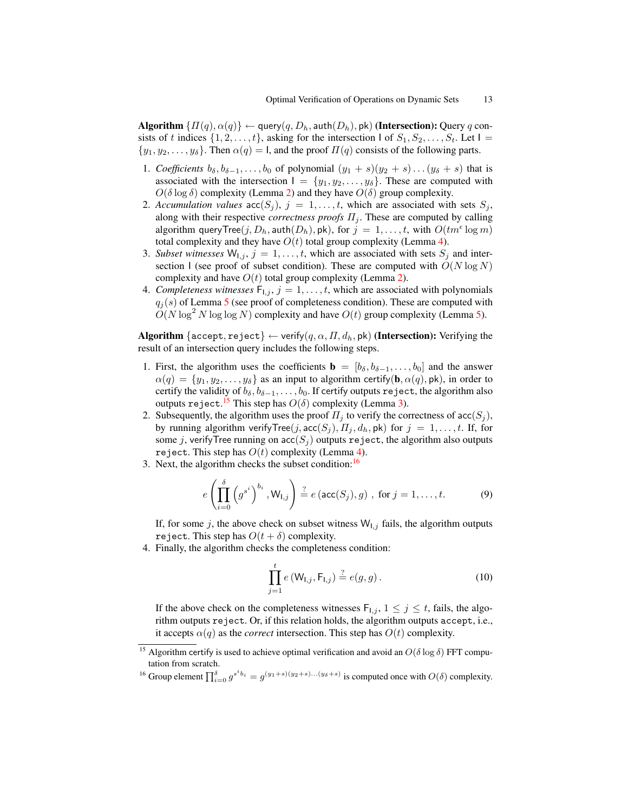**Algorithm**  $\{\Pi(q), \alpha(q)\}$   $\leftarrow$  query $(q, D_h, \text{auth}(D_h), \text{pk})$  (**Intersection**): Query q consists of t indices  $\{1, 2, \ldots, t\}$ , asking for the intersection I of  $S_1, S_2, \ldots, S_t$ . Let I =  $\{y_1, y_2, \ldots, y_\delta\}$ . Then  $\alpha(q) = I$ , and the proof  $\Pi(q)$  consists of the following parts.

- 1. *Coefficients*  $b_{\delta}, b_{\delta-1}, \ldots, b_0$  of polynomial  $(y_1 + s)(y_2 + s) \ldots (y_{\delta} + s)$  that is associated with the intersection  $I = \{y_1, y_2, \ldots, y_\delta\}$ . These are computed with  $O(\delta \log \delta)$  complexity (Lemma [2\)](#page-5-0) and they have  $O(\delta)$  group complexity.
- 2. *Accumulation values*  $\text{acc}(S_j)$ ,  $j = 1, \ldots, t$ , which are associated with sets  $S_j$ , along with their respective *correctness proofs*  $\Pi_j$ . These are computed by calling algorithm query $\mathsf{Tree}(j, D_h, \mathsf{auth}(D_h), \mathsf{pk}), \text{ for } j = 1, \ldots, t, \text{ with } O(tm^{\epsilon} \log m)$ total complexity and they have  $O(t)$  total group complexity (Lemma [4\)](#page-10-0).
- 3. *Subset witnesses*  $W_{1,j}$ ,  $j = 1, \ldots, t$ , which are associated with sets  $S_j$  and intersection I (see proof of subset condition). These are computed with  $O(N \log N)$ complexity and have  $O(t)$  total group complexity (Lemma [2\)](#page-5-0).
- 4. *Completeness witnesses*  $F_{1,j}$ ,  $j = 1, \ldots, t$ , which are associated with polynomials  $q_i(s)$  of Lemma [5](#page-11-0) (see proof of completeness condition). These are computed with  $O(N \log^2 N \log \log N)$  complexity and have  $O(t)$  group complexity (Lemma [5\)](#page-11-0).

Algorithm {accept, reject}  $\leftarrow$  verify $(q, \alpha, \Pi, d_h, \text{pk})$  (Intersection): Verifying the result of an intersection query includes the following steps.

- 1. First, the algorithm uses the coefficients  $\mathbf{b} = [b_{\delta}, b_{\delta-1}, \ldots, b_0]$  and the answer  $\alpha(q) = \{y_1, y_2, \dots, y_\delta\}$  as an input to algorithm certify(**b**,  $\alpha(q)$ , pk), in order to certify the validity of  $b_\delta, b_{\delta-1}, \ldots, b_0$ . If certify outputs reject, the algorithm also outputs reject.<sup>[15](#page-12-0)</sup> This step has  $O(\delta)$  complexity (Lemma [3\)](#page-5-1).
- 2. Subsequently, the algorithm uses the proof  $\Pi_i$  to verify the correctness of acc( $S_i$ ), by running algorithm verifyTree(j,  $\operatorname{acc}(S_j)$ ,  $\Pi_j$ ,  $d_h$ ,  $\operatorname{pk}$ ) for  $j = 1, \ldots, t$ . If, for some j, verify Tree running on  $\operatorname{acc}(S_i)$  outputs reject, the algorithm also outputs reject. This step has  $O(t)$  complexity (Lemma [4\)](#page-10-0).
- 3. Next, the algorithm checks the subset condition:  $16$

$$
e\left(\prod_{i=0}^{\delta}\left(g^{s^i}\right)^{b_i}, \mathsf{W}_{\mathsf{I},j}\right) \stackrel{?}{=} e\left(\mathsf{acc}(S_j), g\right), \text{ for } j = 1, \ldots, t. \tag{9}
$$

If, for some j, the above check on subset witness  $W_{1,j}$  fails, the algorithm outputs reject. This step has  $O(t + \delta)$  complexity.

4. Finally, the algorithm checks the completeness condition:

<span id="page-12-2"></span>
$$
\prod_{j=1}^{t} e(W_{l,j}, \mathsf{F}_{l,j}) \stackrel{?}{=} e(g, g).
$$
 (10)

If the above check on the completeness witnesses  $F_{1,j}$ ,  $1 \leq j \leq t$ , fails, the algorithm outputs reject. Or, if this relation holds, the algorithm outputs accept, i.e., it accepts  $\alpha(q)$  as the *correct* intersection. This step has  $O(t)$  complexity.

<span id="page-12-0"></span><sup>&</sup>lt;sup>15</sup> Algorithm certify is used to achieve optimal verification and avoid an  $O(\delta \log \delta)$  FFT computation from scratch.

<span id="page-12-1"></span><sup>&</sup>lt;sup>16</sup> Group element  $\prod_{i=0}^{\delta} g^{s^i b_i} = g^{(y_1+s)(y_2+s)\dots(y_\delta+s)}$  is computed once with  $O(\delta)$  complexity.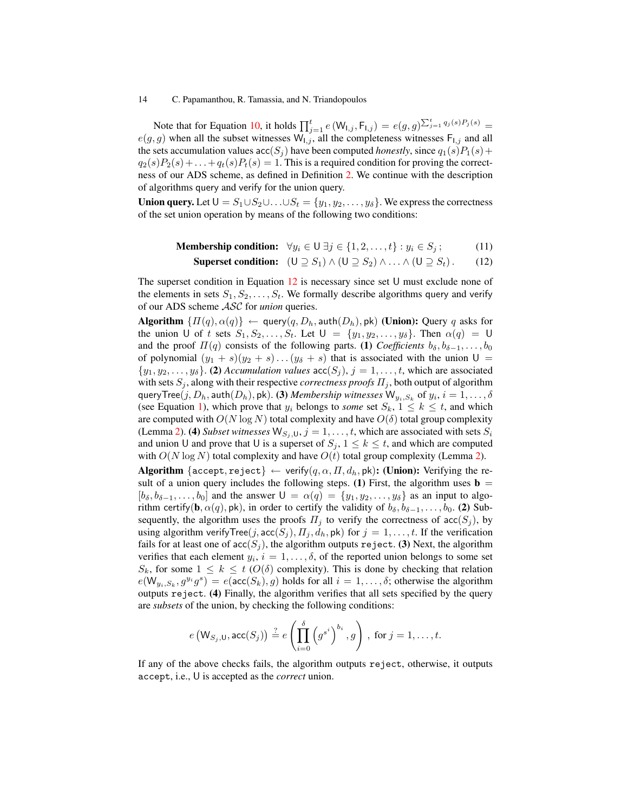Note that for Equation [10,](#page-12-2) it holds  $\prod_{j=1}^{t} e(W_{1,j}, F_{1,j}) = e(g, g)^{\sum_{j=1}^{t} q_j(s) P_j(s)} =$  $e(g, g)$  when all the subset witnesses  $W_{1,j}$ , all the completeness witnesses  $F_{1,j}$  and all the sets accumulation values  $\operatorname{acc}(S_i)$  have been computed *honestly*, since  $q_1(s)P_1(s)$  +  $q_2(s)P_2(s) + \ldots + q_t(s)P_t(s) = 1$ . This is a required condition for proving the correctness of our ADS scheme, as defined in Definition [2.](#page-6-1) We continue with the description of algorithms query and verify for the union query.

Union query. Let  $U = S_1 \cup S_2 \cup \ldots \cup S_t = \{y_1, y_2, \ldots, y_\delta\}$ . We express the correctness of the set union operation by means of the following two conditions:

<span id="page-13-0"></span>**Membership condition:** 
$$
\forall y_i \in \mathsf{U} \,\exists j \in \{1, 2, \ldots, t\} : y_i \in S_j;
$$
 (11)

**Superset condition:** 
$$
(U \supseteq S_1) \land (U \supseteq S_2) \land \ldots \land (U \supseteq S_t)
$$
. (12)

The superset condition in Equation  $12$  is necessary since set U must exclude none of the elements in sets  $S_1, S_2, \ldots, S_t$ . We formally describe algorithms query and verify of our ADS scheme ASC for *union* queries.

Algorithm  $\{\Pi(q), \alpha(q)\}$   $\leftarrow$  query $(q, D_h, \text{auth}(D_h), \text{pk})$  (Union): Query q asks for the union U of t sets  $S_1, S_2, \ldots, S_t$ . Let  $U = \{y_1, y_2, \ldots, y_\delta\}$ . Then  $\alpha(q) = U$ and the proof  $\Pi(q)$  consists of the following parts. (1) *Coefficients*  $b_{\delta}, b_{\delta-1}, \ldots, b_0$ of polynomial  $(y_1 + s)(y_2 + s) \dots (y_{\delta} + s)$  that is associated with the union  $U =$  $\{y_1, y_2, \ldots, y_\delta\}$ . (2) *Accumulation values*  $\text{acc}(S_j)$ ,  $j = 1, \ldots, t$ , which are associated with sets  $S_j$ , along with their respective *correctness proofs*  $\Pi_j$ , both output of algorithm query $\mathsf{Tree}(j, D_h, \mathsf{auth}(D_h), \mathsf{pk}).$  (3)  $\mathit{Membership}\;witnesses\;\mathsf{W}_{y_i, S_k}\; \mathsf{of}\; y_i, \, i=1,\ldots,\delta$ (see Equation [1\)](#page-4-5), which prove that  $y_i$  belongs to *some* set  $S_k$ ,  $1 \leq k \leq t$ , and which are computed with  $O(N \log N)$  total complexity and have  $O(\delta)$  total group complexity (Lemma [2\)](#page-5-0). (4) *Subset witnesses*  $W_{S_i, U_i}$ ,  $j = 1, \ldots, t$ , which are associated with sets  $S_i$ and union U and prove that U is a superset of  $S_j$ ,  $1 \le k \le t$ , and which are computed with  $O(N \log N)$  total complexity and have  $O(t)$  total group complexity (Lemma [2\)](#page-5-0).

Algorithm {accept, reject}  $\leftarrow$  verify $(q, \alpha, \Pi, d_h, \text{pk})$ : (Union): Verifying the result of a union query includes the following steps. (1) First, the algorithm uses  $\mathbf{b} =$  $[b_{\delta}, b_{\delta-1}, \ldots, b_0]$  and the answer  $U = \alpha(q) = \{y_1, y_2, \ldots, y_{\delta}\}\$ as an input to algorithm certify(b,  $\alpha(q)$ , pk), in order to certify the validity of  $b_{\delta}, b_{\delta-1}, \ldots, b_0$ . (2) Subsequently, the algorithm uses the proofs  $\Pi_i$  to verify the correctness of  $\operatorname{acc}(S_i)$ , by using algorithm verifyTree(j,  $\text{acc}(S_i)$ ,  $\Pi_i$ ,  $d_h$ , pk) for  $j = 1, \ldots, t$ . If the verification fails for at least one of  $\operatorname{acc}(S_i)$ , the algorithm outputs reject. (3) Next, the algorithm verifies that each element  $y_i$ ,  $i = 1, \ldots, \delta$ , of the reported union belongs to some set  $S_k$ , for some  $1 \leq k \leq t$  ( $O(\delta)$  complexity). This is done by checking that relation  $e(W_{y_i,S_k}, g^{y_i}g^s) = e(\text{acc}(S_k), g)$  holds for all  $i = 1, \ldots, \delta$ ; otherwise the algorithm outputs reject. (4) Finally, the algorithm verifies that all sets specified by the query are *subsets* of the union, by checking the following conditions:

$$
e\left(\mathsf{W}_{S_j,\mathsf{U}},\mathsf{acc}(S_j)\right) \stackrel{?}{=} e\left(\prod_{i=0}^{\delta} \left(g^{s^i}\right)^{b_i},g\right), \text{ for } j=1,\ldots,t.
$$

If any of the above checks fails, the algorithm outputs reject, otherwise, it outputs accept, i.e., U is accepted as the *correct* union.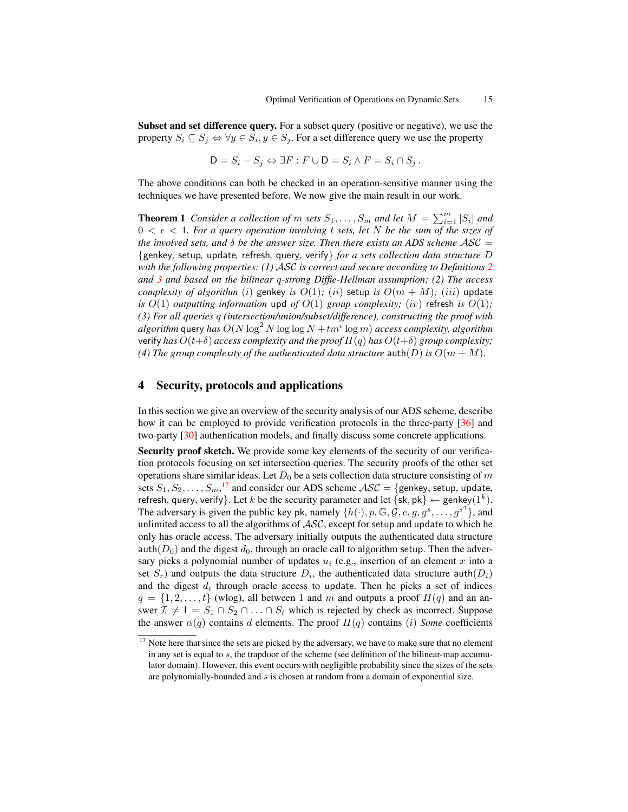Subset and set difference query. For a subset query (positive or negative), we use the property  $S_i \subseteq S_j \Leftrightarrow \forall y \in S_i, y \in S_j$ . For a set difference query we use the property

$$
\mathsf{D} = S_i - S_j \Leftrightarrow \exists F : F \cup \mathsf{D} = S_i \wedge F = S_i \cap S_j.
$$

The above conditions can both be checked in an operation-sensitive manner using the techniques we have presented before. We now give the main result in our work.

<span id="page-14-0"></span>**Theorem 1** Consider a collection of m sets  $S_1, \ldots, S_m$  and let  $M = \sum_{i=1}^m |S_i|$  and  $0 < \epsilon < 1$ *. For a query operation involving t sets, let* N *be the sum of the sizes of the involved sets, and*  $\delta$  *be the answer size. Then there exists an ADS scheme ASC* = {genkey*,* setup*,* update*,* refresh*,* query*,* verify} *for a sets collection data structure* D *with the following properties: (1)* ASC *is correct and secure according to Definitions [2](#page-6-1) and [3](#page-6-2) and based on the bilinear* q*-strong Diffie-Hellman assumption; (2) The access complexity of algorithm* (*i*) genkey *is*  $O(1)$ ; (*ii*) setup *is*  $O(m + M)$ ; (*iii*) update *is* O(1) *outputting information* upd *of* O(1) *group complexity;* (iv) refresh *is* O(1)*; (3) For all queries* q *(intersection/union/subset/difference), constructing the proof with*  $algorithms$   $\mathsf{query}$   $has$   $O(N\log^2 N\log\log N + tm^{\epsilon}\log m)$   $access$   $complexity$ ,  $algorithms$ verify has  $O(t+\delta)$  access complexity and the proof  $\Pi(q)$  has  $O(t+\delta)$  group complexity; *(4) The group complexity of the authenticated data structure*  $\text{auth}(D)$  *is*  $O(m + M)$ *.* 

### 4 Security, protocols and applications

In this section we give an overview of the security analysis of our ADS scheme, describe how it can be employed to provide verification protocols in the three-party [\[36\]](#page-18-0) and two-party [\[30\]](#page-18-1) authentication models, and finally discuss some concrete applications.

Security proof sketch. We provide some key elements of the security of our verification protocols focusing on set intersection queries. The security proofs of the other set operations share similar ideas. Let  $D_0$  be a sets collection data structure consisting of m sets  $S_1, S_2, \ldots, S_m, ^{17}$  $S_1, S_2, \ldots, S_m, ^{17}$  $S_1, S_2, \ldots, S_m, ^{17}$  and consider our ADS scheme  $\mathcal{ASC} = \{$ genkey, setup, update, refresh, query, verify}. Let k be the security parameter and let  $\{sk, pk\} \leftarrow \text{genkey}(1^k)$ . The adversary is given the public key pk, namely  $\{h(\cdot), p, \mathbb{G}, \mathcal{G}, e, g, g^s, \ldots, g^{s^q}\}$ , and unlimited access to all the algorithms of  $\mathcal{A}\mathcal{S}\mathcal{C}$ , except for setup and update to which he only has oracle access. The adversary initially outputs the authenticated data structure auth( $D_0$ ) and the digest  $d_0$ , through an oracle call to algorithm setup. Then the adversary picks a polynomial number of updates  $u_i$  (e.g., insertion of an element  $x$  into a set  $S_r$ ) and outputs the data structure  $D_i$ , the authenticated data structure auth $(D_i)$ and the digest  $d_i$  through oracle access to update. Then he picks a set of indices  $q = \{1, 2, \ldots, t\}$  (wlog), all between 1 and m and outputs a proof  $\Pi(q)$  and an answer  $\mathcal{I} \neq I = S_1 \cap S_2 \cap \ldots \cap S_t$  which is rejected by check as incorrect. Suppose the answer  $\alpha(q)$  contains d elements. The proof  $\Pi(q)$  contains (i) *Some* coefficients

<span id="page-14-1"></span><sup>&</sup>lt;sup>17</sup> Note here that since the sets are picked by the adversary, we have to make sure that no element in any set is equal to s, the trapdoor of the scheme (see definition of the bilinear-map accumulator domain). However, this event occurs with negligible probability since the sizes of the sets are polynomially-bounded and s is chosen at random from a domain of exponential size.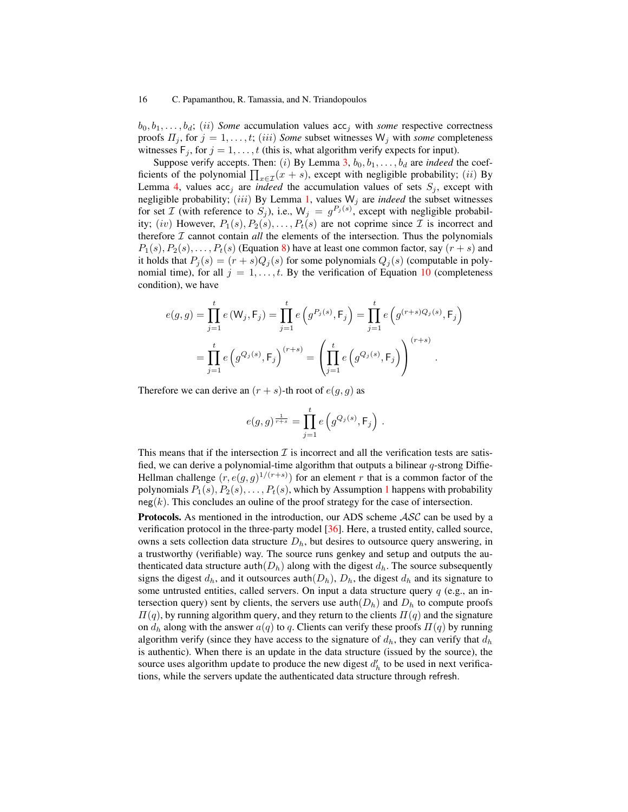$b_0, b_1, \ldots, b_d$ ; (ii) *Some* accumulation values  $\text{acc}_i$  with *some* respective correctness proofs  $\Pi_j$ , for  $j = 1, \ldots, t$ ; (iii) *Some* subset witnesses  $W_j$  with *some* completeness witnesses  $F_j$ , for  $j = 1, \ldots, t$  (this is, what algorithm verify expects for input).

Suppose verify accepts. Then: (i) By Lemma [3,](#page-5-1)  $b_0, b_1, \ldots, b_d$  are *indeed* the coefficients of the polynomial  $\prod_{x \in \mathcal{I}} (x + s)$ , except with negligible probability; (*ii*) By Lemma [4,](#page-10-0) values  $\text{acc}_i$  are *indeed* the accumulation values of sets  $S_i$ , except with negligible probability; (iii) By Lemma [1,](#page-4-0) values  $W_i$  are *indeed* the subset witnesses for set *T* (with reference to  $S_j$ ), i.e.,  $W_j = g^{P_j(s)}$ , except with negligible probability; (iv) However,  $P_1(s), P_2(s), \ldots, P_t(s)$  are not coprime since  $\mathcal I$  is incorrect and therefore  $I$  cannot contain  $all$  the elements of the intersection. Thus the polynomials  $P_1(s), P_2(s), \ldots, P_t(s)$  (Equation [8\)](#page-11-2) have at least one common factor, say  $(r + s)$  and it holds that  $P_i(s) = (r + s)Q_i(s)$  for some polynomials  $Q_i(s)$  (computable in polynomial time), for all  $j = 1, \ldots, t$ . By the verification of Equation [10](#page-12-2) (completeness condition), we have

$$
e(g,g) = \prod_{j=1}^{t} e(W_j, F_j) = \prod_{j=1}^{t} e(g^{P_j(s)}, F_j) = \prod_{j=1}^{t} e(g^{(r+s)Q_j(s)}, F_j)
$$
  
= 
$$
\prod_{j=1}^{t} e(g^{Q_j(s)}, F_j)^{(r+s)} = \left(\prod_{j=1}^{t} e(g^{Q_j(s)}, F_j)\right)^{(r+s)}.
$$

Therefore we can derive an  $(r + s)$ -th root of  $e(g, g)$  as

$$
e(g,g)^{\frac{1}{r+s}}=\prod_{j=1}^t e\left(g^{Q_j(s)},\mathsf{F}_j\right)\,.
$$

This means that if the intersection  $\mathcal I$  is incorrect and all the verification tests are satisfied, we can derive a polynomial-time algorithm that outputs a bilinear  $q$ -strong Diffie-Hellman challenge  $(r, e(g, g)^{1/(r+s)})$  for an element r that is a common factor of the polynomials  $P_1(s), P_2(s), \ldots, P_t(s)$  $P_1(s), P_2(s), \ldots, P_t(s)$  $P_1(s), P_2(s), \ldots, P_t(s)$ , which by Assumption 1 happens with probability  $neg(k)$ . This concludes an ouline of the proof strategy for the case of intersection.

**Protocols.** As mentioned in the introduction, our ADS scheme  $\mathcal{ASC}$  can be used by a verification protocol in the three-party model [\[36\]](#page-18-0). Here, a trusted entity, called source, owns a sets collection data structure  $D<sub>h</sub>$ , but desires to outsource query answering, in a trustworthy (verifiable) way. The source runs genkey and setup and outputs the authenticated data structure auth $(D_h)$  along with the digest  $d_h$ . The source subsequently signs the digest  $d_h$ , and it outsources auth $(D_h)$ ,  $D_h$ , the digest  $d_h$  and its signature to some untrusted entities, called servers. On input a data structure query  $q$  (e.g., an intersection query) sent by clients, the servers use  $\text{auth}(D_h)$  and  $D_h$  to compute proofs  $\Pi(q)$ , by running algorithm query, and they return to the clients  $\Pi(q)$  and the signature on  $d_h$  along with the answer  $a(q)$  to q. Clients can verify these proofs  $\Pi(q)$  by running algorithm verify (since they have access to the signature of  $d<sub>h</sub>$ , they can verify that  $d<sub>h</sub>$ is authentic). When there is an update in the data structure (issued by the source), the source uses algorithm update to produce the new digest  $d'_h$  to be used in next verifications, while the servers update the authenticated data structure through refresh.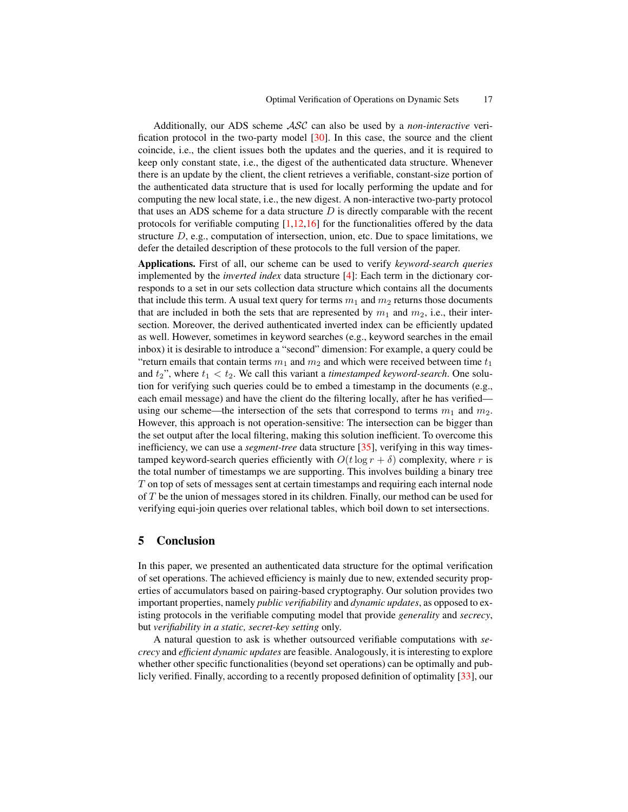Additionally, our ADS scheme ASC can also be used by a *non-interactive* verification protocol in the two-party model  $[30]$ . In this case, the source and the client coincide, i.e., the client issues both the updates and the queries, and it is required to keep only constant state, i.e., the digest of the authenticated data structure. Whenever there is an update by the client, the client retrieves a verifiable, constant-size portion of the authenticated data structure that is used for locally performing the update and for computing the new local state, i.e., the new digest. A non-interactive two-party protocol that uses an ADS scheme for a data structure  $D$  is directly comparable with the recent protocols for verifiable computing  $[1,12,16]$  $[1,12,16]$  $[1,12,16]$  for the functionalities offered by the data structure  $D$ , e.g., computation of intersection, union, etc. Due to space limitations, we defer the detailed description of these protocols to the full version of the paper.

Applications. First of all, our scheme can be used to verify *keyword-search queries* implemented by the *inverted index* data structure [\[4\]](#page-17-15): Each term in the dictionary corresponds to a set in our sets collection data structure which contains all the documents that include this term. A usual text query for terms  $m_1$  and  $m_2$  returns those documents that are included in both the sets that are represented by  $m_1$  and  $m_2$ , i.e., their intersection. Moreover, the derived authenticated inverted index can be efficiently updated as well. However, sometimes in keyword searches (e.g., keyword searches in the email inbox) it is desirable to introduce a "second" dimension: For example, a query could be "return emails that contain terms  $m_1$  and  $m_2$  and which were received between time  $t_1$ and  $t_2$ ", where  $t_1 < t_2$ . We call this variant a *timestamped keyword-search*. One solution for verifying such queries could be to embed a timestamp in the documents (e.g., each email message) and have the client do the filtering locally, after he has verified using our scheme—the intersection of the sets that correspond to terms  $m_1$  and  $m_2$ . However, this approach is not operation-sensitive: The intersection can be bigger than the set output after the local filtering, making this solution inefficient. To overcome this inefficiency, we can use a *segment-tree* data structure [\[35\]](#page-18-21), verifying in this way timestamped keyword-search queries efficiently with  $O(t \log r + \delta)$  complexity, where r is the total number of timestamps we are supporting. This involves building a binary tree T on top of sets of messages sent at certain timestamps and requiring each internal node of  $T$  be the union of messages stored in its children. Finally, our method can be used for verifying equi-join queries over relational tables, which boil down to set intersections.

### 5 Conclusion

In this paper, we presented an authenticated data structure for the optimal verification of set operations. The achieved efficiency is mainly due to new, extended security properties of accumulators based on pairing-based cryptography. Our solution provides two important properties, namely *public verifiability* and *dynamic updates*, as opposed to existing protocols in the verifiable computing model that provide *generality* and *secrecy*, but *verifiability in a static, secret-key setting* only.

A natural question to ask is whether outsourced verifiable computations with *secrecy* and *efficient dynamic updates* are feasible. Analogously, it is interesting to explore whether other specific functionalities (beyond set operations) can be optimally and publicly verified. Finally, according to a recently proposed definition of optimality [\[33\]](#page-18-22), our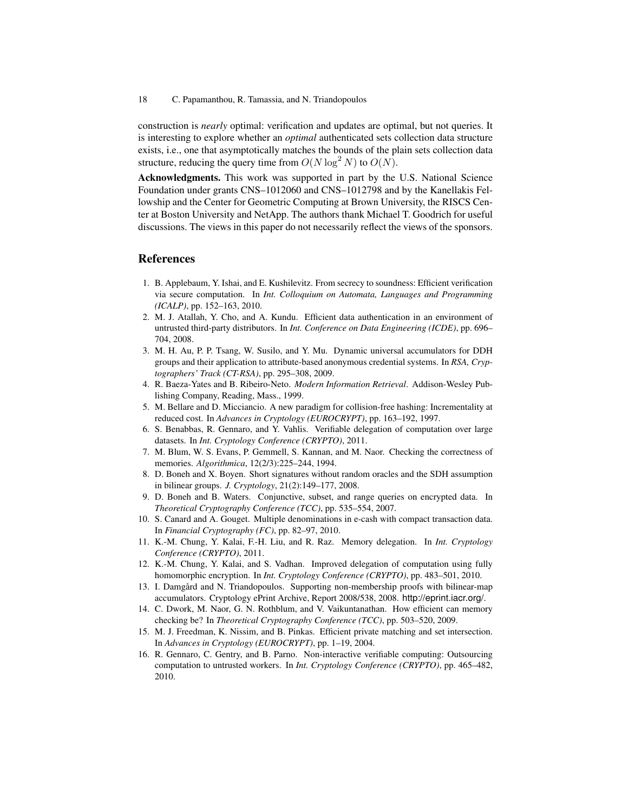construction is *nearly* optimal: verification and updates are optimal, but not queries. It is interesting to explore whether an *optimal* authenticated sets collection data structure exists, i.e., one that asymptotically matches the bounds of the plain sets collection data structure, reducing the query time from  $O(N \log^2 N)$  to  $O(N)$ .

Acknowledgments. This work was supported in part by the U.S. National Science Foundation under grants CNS–1012060 and CNS–1012798 and by the Kanellakis Fellowship and the Center for Geometric Computing at Brown University, the RISCS Center at Boston University and NetApp. The authors thank Michael T. Goodrich for useful discussions. The views in this paper do not necessarily reflect the views of the sponsors.

## References

- <span id="page-17-0"></span>1. B. Applebaum, Y. Ishai, and E. Kushilevitz. From secrecy to soundness: Efficient verification via secure computation. In *Int. Colloquium on Automata, Languages and Programming (ICALP)*, pp. 152–163, 2010.
- <span id="page-17-9"></span>2. M. J. Atallah, Y. Cho, and A. Kundu. Efficient data authentication in an environment of untrusted third-party distributors. In *Int. Conference on Data Engineering (ICDE)*, pp. 696– 704, 2008.
- <span id="page-17-12"></span>3. M. H. Au, P. P. Tsang, W. Susilo, and Y. Mu. Dynamic universal accumulators for DDH groups and their application to attribute-based anonymous credential systems. In *RSA, Cryptographers' Track (CT-RSA)*, pp. 295–308, 2009.
- <span id="page-17-15"></span>4. R. Baeza-Yates and B. Ribeiro-Neto. *Modern Information Retrieval*. Addison-Wesley Publishing Company, Reading, Mass., 1999.
- <span id="page-17-6"></span>5. M. Bellare and D. Micciancio. A new paradigm for collision-free hashing: Incrementality at reduced cost. In *Advances in Cryptology (EUROCRYPT)*, pp. 163–192, 1997.
- <span id="page-17-4"></span>6. S. Benabbas, R. Gennaro, and Y. Vahlis. Verifiable delegation of computation over large datasets. In *Int. Cryptology Conference (CRYPTO)*, 2011.
- <span id="page-17-5"></span>7. M. Blum, W. S. Evans, P. Gemmell, S. Kannan, and M. Naor. Checking the correctness of memories. *Algorithmica*, 12(2/3):225–244, 1994.
- <span id="page-17-7"></span>8. D. Boneh and X. Boyen. Short signatures without random oracles and the SDH assumption in bilinear groups. *J. Cryptology*, 21(2):149–177, 2008.
- <span id="page-17-10"></span>9. D. Boneh and B. Waters. Conjunctive, subset, and range queries on encrypted data. In *Theoretical Cryptography Conference (TCC)*, pp. 535–554, 2007.
- <span id="page-17-14"></span>10. S. Canard and A. Gouget. Multiple denominations in e-cash with compact transaction data. In *Financial Cryptography (FC)*, pp. 82–97, 2010.
- <span id="page-17-3"></span>11. K.-M. Chung, Y. Kalai, F.-H. Liu, and R. Raz. Memory delegation. In *Int. Cryptology Conference (CRYPTO)*, 2011.
- <span id="page-17-1"></span>12. K.-M. Chung, Y. Kalai, and S. Vadhan. Improved delegation of computation using fully homomorphic encryption. In *Int. Cryptology Conference (CRYPTO)*, pp. 483–501, 2010.
- <span id="page-17-13"></span>13. I. Damgård and N. Triandopoulos. Supporting non-membership proofs with bilinear-map accumulators. Cryptology ePrint Archive, Report 2008/538, 2008. http://eprint.iacr.org/.
- <span id="page-17-8"></span>14. C. Dwork, M. Naor, G. N. Rothblum, and V. Vaikuntanathan. How efficient can memory checking be? In *Theoretical Cryptography Conference (TCC)*, pp. 503–520, 2009.
- <span id="page-17-11"></span>15. M. J. Freedman, K. Nissim, and B. Pinkas. Efficient private matching and set intersection. In *Advances in Cryptology (EUROCRYPT)*, pp. 1–19, 2004.
- <span id="page-17-2"></span>16. R. Gennaro, C. Gentry, and B. Parno. Non-interactive verifiable computing: Outsourcing computation to untrusted workers. In *Int. Cryptology Conference (CRYPTO)*, pp. 465–482, 2010.